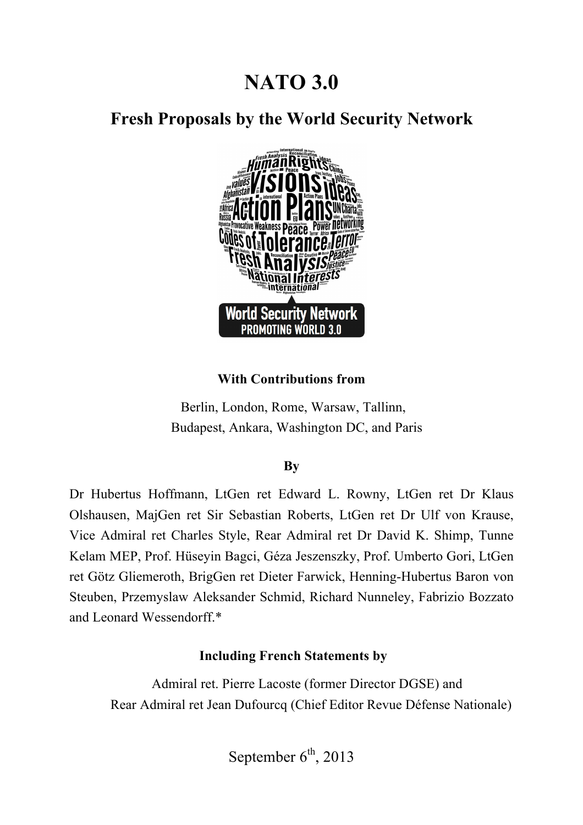# **NATO 3.0**

# **Fresh Proposals by the World Security Network**



#### **With Contributions from**

Berlin, London, Rome, Warsaw, Tallinn, Budapest, Ankara, Washington DC, and Paris

#### **By**

Dr Hubertus Hoffmann, LtGen ret Edward L. Rowny, LtGen ret Dr Klaus Olshausen, MajGen ret Sir Sebastian Roberts, LtGen ret Dr Ulf von Krause, Vice Admiral ret Charles Style, Rear Admiral ret Dr David K. Shimp, Tunne Kelam MEP, Prof. Hüseyin Bagci, Géza Jeszenszky, Prof. Umberto Gori, LtGen ret Götz Gliemeroth, BrigGen ret Dieter Farwick, Henning-Hubertus Baron von Steuben, Przemyslaw Aleksander Schmid, Richard Nunneley, Fabrizio Bozzato and Leonard Wessendorff.\*

#### **Including French Statements by**

 Admiral ret. Pierre Lacoste (former Director DGSE) and Rear Admiral ret Jean Dufourcq (Chief Editor Revue Défense Nationale)

September  $6<sup>th</sup>$ , 2013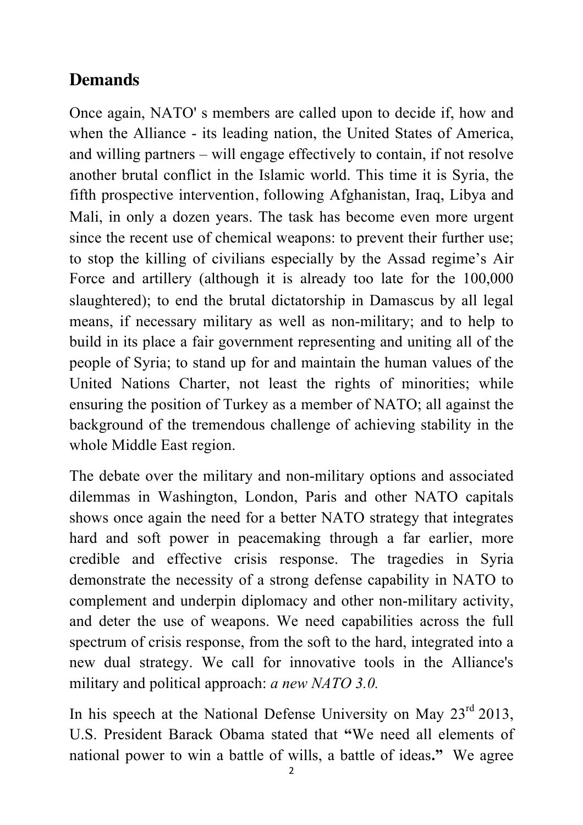# **Demands**

Once again, NATO' s members are called upon to decide if, how and when the Alliance - its leading nation, the United States of America, and willing partners – will engage effectively to contain, if not resolve another brutal conflict in the Islamic world. This time it is Syria, the fifth prospective intervention, following Afghanistan, Iraq, Libya and Mali, in only a dozen years. The task has become even more urgent since the recent use of chemical weapons: to prevent their further use; to stop the killing of civilians especially by the Assad regime's Air Force and artillery (although it is already too late for the 100,000 slaughtered); to end the brutal dictatorship in Damascus by all legal means, if necessary military as well as non-military; and to help to build in its place a fair government representing and uniting all of the people of Syria; to stand up for and maintain the human values of the United Nations Charter, not least the rights of minorities; while ensuring the position of Turkey as a member of NATO; all against the background of the tremendous challenge of achieving stability in the whole Middle East region.

The debate over the military and non-military options and associated dilemmas in Washington, London, Paris and other NATO capitals shows once again the need for a better NATO strategy that integrates hard and soft power in peacemaking through a far earlier, more credible and effective crisis response. The tragedies in Syria demonstrate the necessity of a strong defense capability in NATO to complement and underpin diplomacy and other non-military activity, and deter the use of weapons. We need capabilities across the full spectrum of crisis response, from the soft to the hard, integrated into a new dual strategy. We call for innovative tools in the Alliance's military and political approach: *a new NATO 3.0.*

In his speech at the National Defense University on May 23<sup>rd</sup> 2013, U.S. President Barack Obama stated that **"**We need all elements of national power to win a battle of wills, a battle of ideas**."** We agree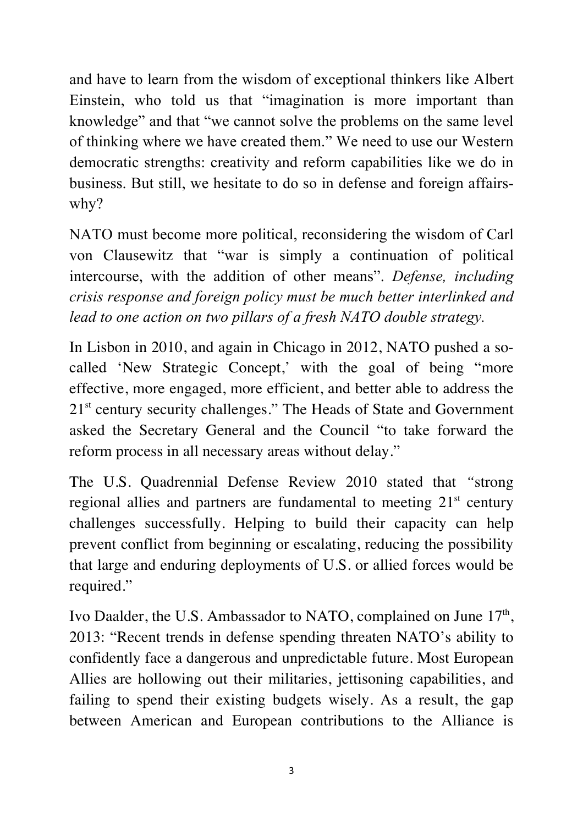and have to learn from the wisdom of exceptional thinkers like Albert Einstein, who told us that "imagination is more important than knowledge" and that "we cannot solve the problems on the same level of thinking where we have created them." We need to use our Western democratic strengths: creativity and reform capabilities like we do in business. But still, we hesitate to do so in defense and foreign affairswhy?

NATO must become more political, reconsidering the wisdom of Carl von Clausewitz that "war is simply a continuation of political intercourse, with the addition of other means". *Defense, including crisis response and foreign policy must be much better interlinked and lead to one action on two pillars of a fresh NATO double strategy.* 

In Lisbon in 2010, and again in Chicago in 2012, NATO pushed a socalled 'New Strategic Concept,' with the goal of being "more effective, more engaged, more efficient, and better able to address the 21<sup>st</sup> century security challenges." The Heads of State and Government asked the Secretary General and the Council "to take forward the reform process in all necessary areas without delay."

The U.S. Quadrennial Defense Review 2010 stated that *"*strong regional allies and partners are fundamental to meeting  $21<sup>st</sup>$  century challenges successfully. Helping to build their capacity can help prevent conflict from beginning or escalating, reducing the possibility that large and enduring deployments of U.S. or allied forces would be required*.*"

Ivo Daalder, the U.S. Ambassador to NATO, complained on June  $17<sup>th</sup>$ , 2013: "Recent trends in defense spending threaten NATO's ability to confidently face a dangerous and unpredictable future. Most European Allies are hollowing out their militaries, jettisoning capabilities, and failing to spend their existing budgets wisely. As a result, the gap between American and European contributions to the Alliance is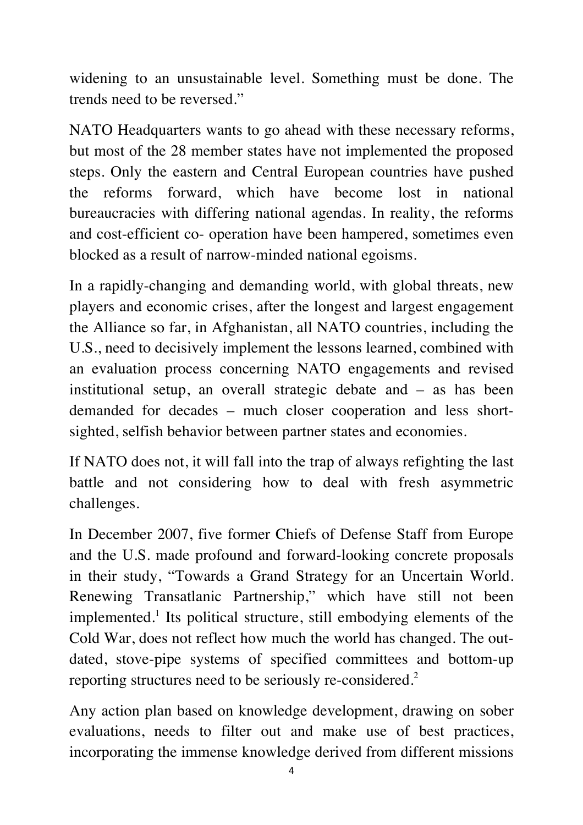widening to an unsustainable level. Something must be done. The trends need to be reversed."

NATO Headquarters wants to go ahead with these necessary reforms, but most of the 28 member states have not implemented the proposed steps. Only the eastern and Central European countries have pushed the reforms forward, which have become lost in national bureaucracies with differing national agendas. In reality, the reforms and cost-efficient co- operation have been hampered, sometimes even blocked as a result of narrow-minded national egoisms.

In a rapidly-changing and demanding world, with global threats, new players and economic crises, after the longest and largest engagement the Alliance so far, in Afghanistan, all NATO countries, including the U.S., need to decisively implement the lessons learned, combined with an evaluation process concerning NATO engagements and revised institutional setup, an overall strategic debate and – as has been demanded for decades – much closer cooperation and less shortsighted, selfish behavior between partner states and economies.

If NATO does not, it will fall into the trap of always refighting the last battle and not considering how to deal with fresh asymmetric challenges.

In December 2007, five former Chiefs of Defense Staff from Europe and the U.S. made profound and forward-looking concrete proposals in their study, "Towards a Grand Strategy for an Uncertain World. Renewing Transatlanic Partnership," which have still not been implemented.<sup>1</sup> Its political structure, still embodying elements of the Cold War, does not reflect how much the world has changed. The outdated, stove-pipe systems of specified committees and bottom-up reporting structures need to be seriously re-considered.<sup>2</sup>

Any action plan based on knowledge development, drawing on sober evaluations, needs to filter out and make use of best practices, incorporating the immense knowledge derived from different missions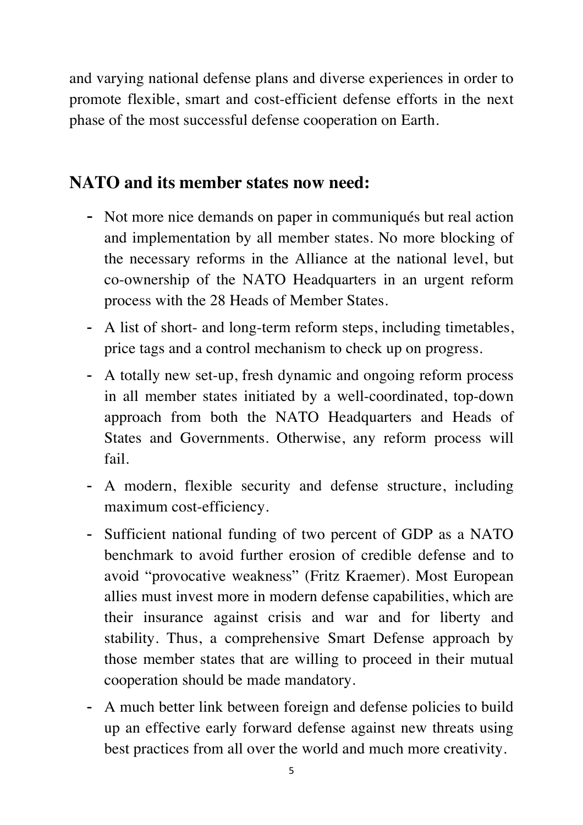and varying national defense plans and diverse experiences in order to promote flexible, smart and cost-efficient defense efforts in the next phase of the most successful defense cooperation on Earth.

# **NATO and its member states now need:**

- Not more nice demands on paper in communiqués but real action and implementation by all member states. No more blocking of the necessary reforms in the Alliance at the national level, but co-ownership of the NATO Headquarters in an urgent reform process with the 28 Heads of Member States.
- A list of short- and long-term reform steps, including timetables, price tags and a control mechanism to check up on progress.
- A totally new set-up, fresh dynamic and ongoing reform process in all member states initiated by a well-coordinated, top-down approach from both the NATO Headquarters and Heads of States and Governments. Otherwise, any reform process will fail.
- A modern, flexible security and defense structure, including maximum cost-efficiency.
- Sufficient national funding of two percent of GDP as a NATO benchmark to avoid further erosion of credible defense and to avoid "provocative weakness" (Fritz Kraemer). Most European allies must invest more in modern defense capabilities, which are their insurance against crisis and war and for liberty and stability. Thus, a comprehensive Smart Defense approach by those member states that are willing to proceed in their mutual cooperation should be made mandatory.
- A much better link between foreign and defense policies to build up an effective early forward defense against new threats using best practices from all over the world and much more creativity.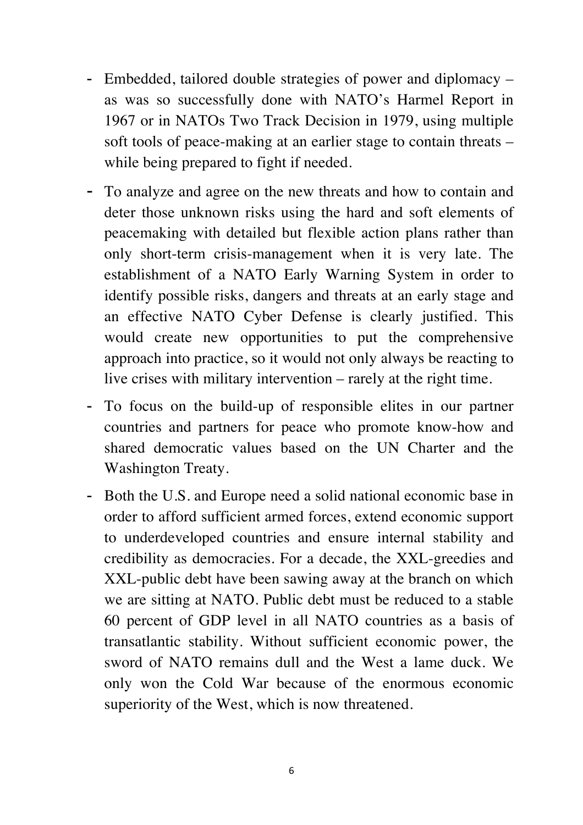- Embedded, tailored double strategies of power and diplomacy as was so successfully done with NATO's Harmel Report in 1967 or in NATOs Two Track Decision in 1979, using multiple soft tools of peace-making at an earlier stage to contain threats – while being prepared to fight if needed.
- To analyze and agree on the new threats and how to contain and deter those unknown risks using the hard and soft elements of peacemaking with detailed but flexible action plans rather than only short-term crisis-management when it is very late. The establishment of a NATO Early Warning System in order to identify possible risks, dangers and threats at an early stage and an effective NATO Cyber Defense is clearly justified. This would create new opportunities to put the comprehensive approach into practice, so it would not only always be reacting to live crises with military intervention – rarely at the right time.
- To focus on the build-up of responsible elites in our partner countries and partners for peace who promote know-how and shared democratic values based on the UN Charter and the Washington Treaty.
- Both the U.S. and Europe need a solid national economic base in order to afford sufficient armed forces, extend economic support to underdeveloped countries and ensure internal stability and credibility as democracies. For a decade, the XXL-greedies and XXL-public debt have been sawing away at the branch on which we are sitting at NATO. Public debt must be reduced to a stable 60 percent of GDP level in all NATO countries as a basis of transatlantic stability. Without sufficient economic power, the sword of NATO remains dull and the West a lame duck. We only won the Cold War because of the enormous economic superiority of the West, which is now threatened.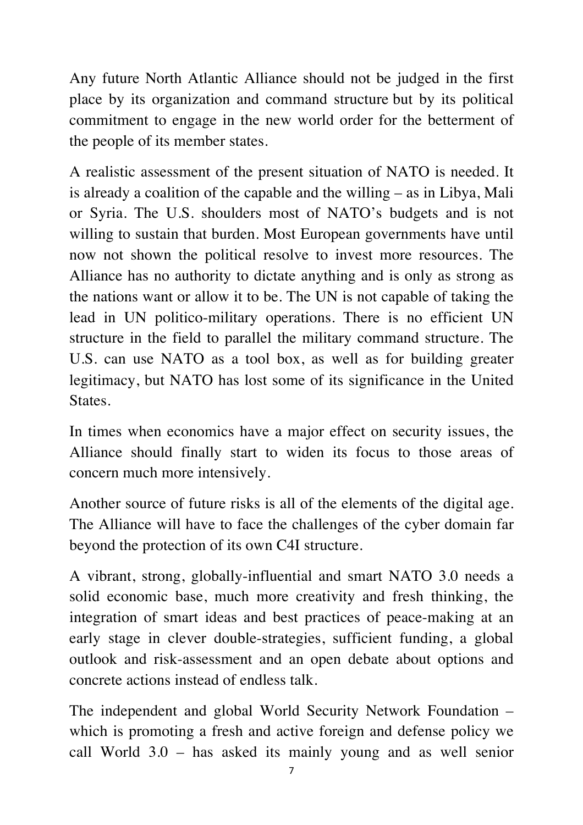Any future North Atlantic Alliance should not be judged in the first place by its organization and command structure but by its political commitment to engage in the new world order for the betterment of the people of its member states.

A realistic assessment of the present situation of NATO is needed. It is already a coalition of the capable and the willing – as in Libya, Mali or Syria. The U.S. shoulders most of NATO's budgets and is not willing to sustain that burden. Most European governments have until now not shown the political resolve to invest more resources. The Alliance has no authority to dictate anything and is only as strong as the nations want or allow it to be. The UN is not capable of taking the lead in UN politico-military operations. There is no efficient UN structure in the field to parallel the military command structure. The U.S. can use NATO as a tool box, as well as for building greater legitimacy, but NATO has lost some of its significance in the United States.

In times when economics have a major effect on security issues, the Alliance should finally start to widen its focus to those areas of concern much more intensively.

Another source of future risks is all of the elements of the digital age. The Alliance will have to face the challenges of the cyber domain far beyond the protection of its own C4I structure.

A vibrant, strong, globally-influential and smart NATO 3.0 needs a solid economic base, much more creativity and fresh thinking, the integration of smart ideas and best practices of peace-making at an early stage in clever double-strategies, sufficient funding, a global outlook and risk-assessment and an open debate about options and concrete actions instead of endless talk.

The independent and global World Security Network Foundation – which is promoting a fresh and active foreign and defense policy we call World 3.0 – has asked its mainly young and as well senior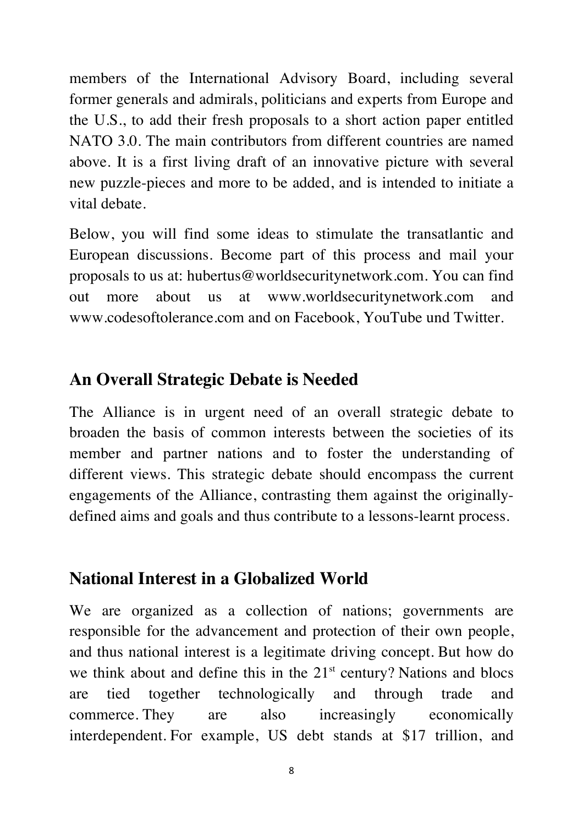members of the International Advisory Board, including several former generals and admirals, politicians and experts from Europe and the U.S., to add their fresh proposals to a short action paper entitled NATO 3.0. The main contributors from different countries are named above. It is a first living draft of an innovative picture with several new puzzle-pieces and more to be added, and is intended to initiate a vital debate.

Below, you will find some ideas to stimulate the transatlantic and European discussions. Become part of this process and mail your proposals to us at: hubertus@worldsecuritynetwork.com. You can find out more about us at www.worldsecuritynetwork.com and www.codesoftolerance.com and on Facebook, YouTube und Twitter.

## **An Overall Strategic Debate is Needed**

The Alliance is in urgent need of an overall strategic debate to broaden the basis of common interests between the societies of its member and partner nations and to foster the understanding of different views. This strategic debate should encompass the current engagements of the Alliance, contrasting them against the originallydefined aims and goals and thus contribute to a lessons-learnt process.

## **National Interest in a Globalized World**

We are organized as a collection of nations; governments are responsible for the advancement and protection of their own people, and thus national interest is a legitimate driving concept. But how do we think about and define this in the  $21<sup>st</sup>$  century? Nations and blocs are tied together technologically and through trade and commerce. They are also increasingly economically interdependent. For example, US debt stands at \$17 trillion, and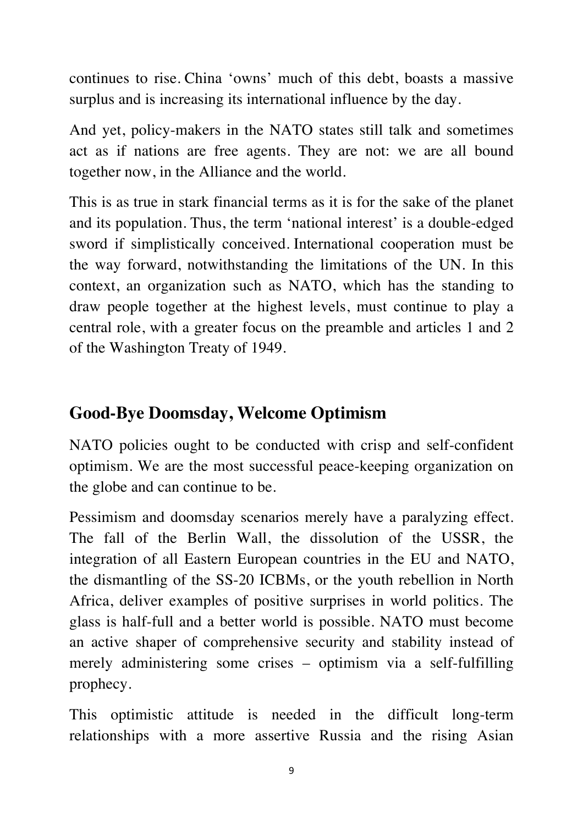continues to rise. China 'owns' much of this debt, boasts a massive surplus and is increasing its international influence by the day.

And yet, policy-makers in the NATO states still talk and sometimes act as if nations are free agents. They are not: we are all bound together now, in the Alliance and the world.

This is as true in stark financial terms as it is for the sake of the planet and its population. Thus, the term 'national interest' is a double-edged sword if simplistically conceived. International cooperation must be the way forward, notwithstanding the limitations of the UN. In this context, an organization such as NATO, which has the standing to draw people together at the highest levels, must continue to play a central role, with a greater focus on the preamble and articles 1 and 2 of the Washington Treaty of 1949.

# **Good-Bye Doomsday, Welcome Optimism**

NATO policies ought to be conducted with crisp and self-confident optimism. We are the most successful peace-keeping organization on the globe and can continue to be.

Pessimism and doomsday scenarios merely have a paralyzing effect. The fall of the Berlin Wall, the dissolution of the USSR, the integration of all Eastern European countries in the EU and NATO, the dismantling of the SS-20 ICBMs, or the youth rebellion in North Africa, deliver examples of positive surprises in world politics. The glass is half-full and a better world is possible. NATO must become an active shaper of comprehensive security and stability instead of merely administering some crises – optimism via a self-fulfilling prophecy.

This optimistic attitude is needed in the difficult long-term relationships with a more assertive Russia and the rising Asian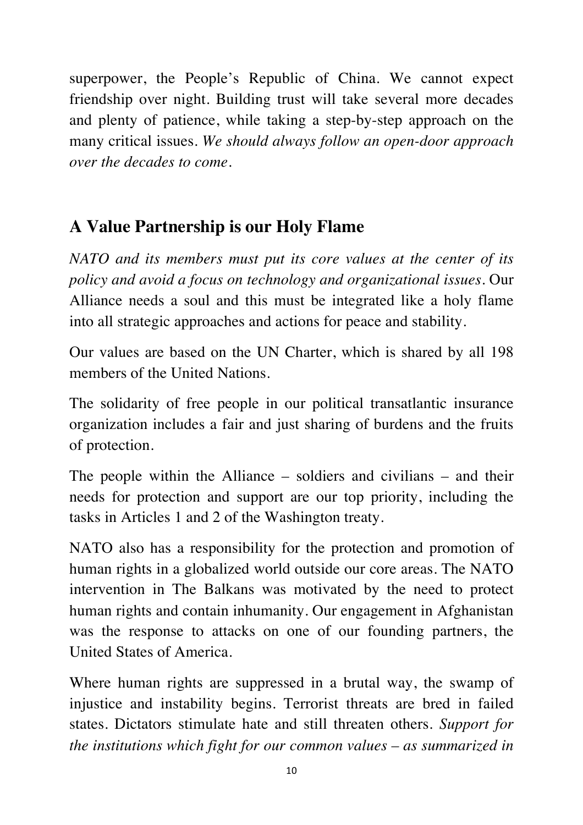superpower, the People's Republic of China. We cannot expect friendship over night. Building trust will take several more decades and plenty of patience, while taking a step-by-step approach on the many critical issues. *We should always follow an open-door approach over the decades to come.*

# **A Value Partnership is our Holy Flame**

*NATO and its members must put its core values at the center of its policy and avoid a focus on technology and organizational issues.* Our Alliance needs a soul and this must be integrated like a holy flame into all strategic approaches and actions for peace and stability.

Our values are based on the UN Charter, which is shared by all 198 members of the United Nations.

The solidarity of free people in our political transatlantic insurance organization includes a fair and just sharing of burdens and the fruits of protection.

The people within the Alliance – soldiers and civilians – and their needs for protection and support are our top priority, including the tasks in Articles 1 and 2 of the Washington treaty.

NATO also has a responsibility for the protection and promotion of human rights in a globalized world outside our core areas. The NATO intervention in The Balkans was motivated by the need to protect human rights and contain inhumanity. Our engagement in Afghanistan was the response to attacks on one of our founding partners, the United States of America.

Where human rights are suppressed in a brutal way, the swamp of injustice and instability begins. Terrorist threats are bred in failed states. Dictators stimulate hate and still threaten others. *Support for the institutions which fight for our common values – as summarized in*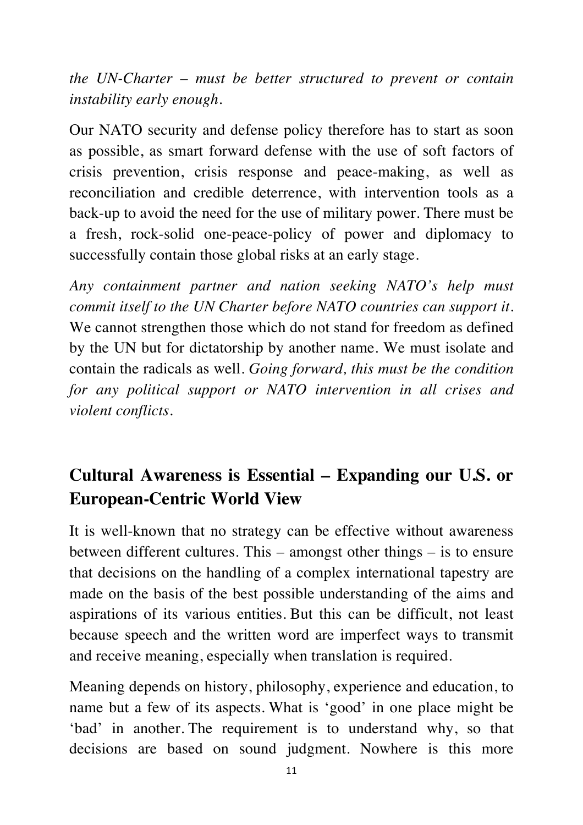*the UN-Charter – must be better structured to prevent or contain instability early enough.*

Our NATO security and defense policy therefore has to start as soon as possible, as smart forward defense with the use of soft factors of crisis prevention, crisis response and peace-making, as well as reconciliation and credible deterrence, with intervention tools as a back-up to avoid the need for the use of military power. There must be a fresh, rock-solid one-peace-policy of power and diplomacy to successfully contain those global risks at an early stage.

*Any containment partner and nation seeking NATO's help must commit itself to the UN Charter before NATO countries can support it.*  We cannot strengthen those which do not stand for freedom as defined by the UN but for dictatorship by another name. We must isolate and contain the radicals as well. *Going forward, this must be the condition for any political support or NATO intervention in all crises and violent conflicts.*

# **Cultural Awareness is Essential – Expanding our U.S. or European-Centric World View**

It is well-known that no strategy can be effective without awareness between different cultures. This – amongst other things – is to ensure that decisions on the handling of a complex international tapestry are made on the basis of the best possible understanding of the aims and aspirations of its various entities. But this can be difficult, not least because speech and the written word are imperfect ways to transmit and receive meaning, especially when translation is required.

Meaning depends on history, philosophy, experience and education, to name but a few of its aspects. What is 'good' in one place might be 'bad' in another. The requirement is to understand why, so that decisions are based on sound judgment. Nowhere is this more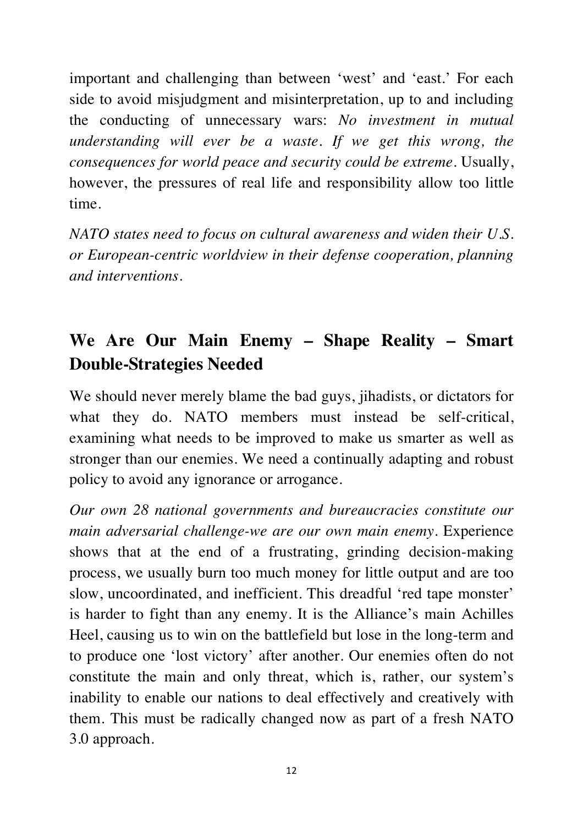important and challenging than between 'west' and 'east.' For each side to avoid misjudgment and misinterpretation, up to and including the conducting of unnecessary wars: *No investment in mutual understanding will ever be a waste. If we get this wrong, the consequences for world peace and security could be extreme.* Usually, however, the pressures of real life and responsibility allow too little time.

*NATO states need to focus on cultural awareness and widen their U.S. or European-centric worldview in their defense cooperation, planning and interventions.*

# **We Are Our Main Enemy – Shape Reality – Smart Double-Strategies Needed**

We should never merely blame the bad guys, jihadists, or dictators for what they do. NATO members must instead be self-critical, examining what needs to be improved to make us smarter as well as stronger than our enemies. We need a continually adapting and robust policy to avoid any ignorance or arrogance.

*Our own 28 national governments and bureaucracies constitute our main adversarial challenge-we are our own main enemy*. Experience shows that at the end of a frustrating, grinding decision-making process, we usually burn too much money for little output and are too slow, uncoordinated, and inefficient. This dreadful 'red tape monster' is harder to fight than any enemy. It is the Alliance's main Achilles Heel, causing us to win on the battlefield but lose in the long-term and to produce one 'lost victory' after another. Our enemies often do not constitute the main and only threat, which is, rather, our system's inability to enable our nations to deal effectively and creatively with them. This must be radically changed now as part of a fresh NATO 3.0 approach.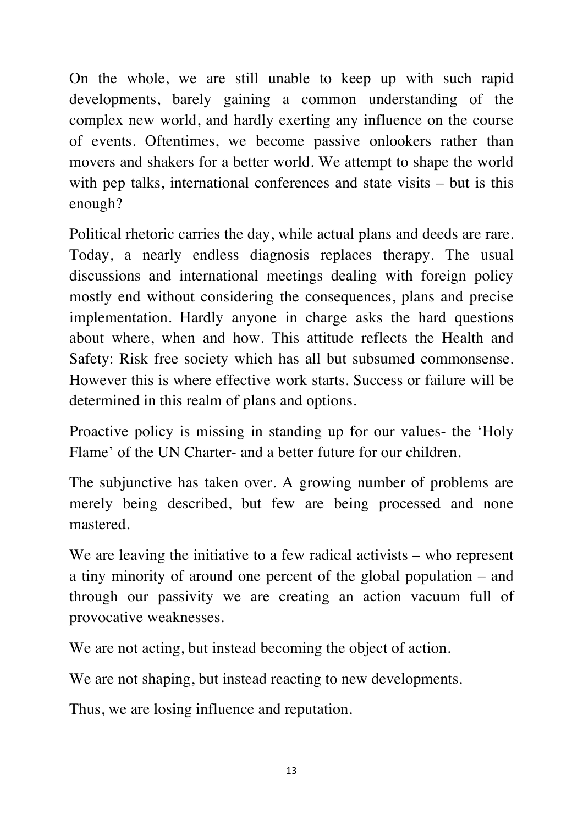On the whole, we are still unable to keep up with such rapid developments, barely gaining a common understanding of the complex new world, and hardly exerting any influence on the course of events. Oftentimes, we become passive onlookers rather than movers and shakers for a better world. We attempt to shape the world with pep talks, international conferences and state visits – but is this enough?

Political rhetoric carries the day, while actual plans and deeds are rare. Today, a nearly endless diagnosis replaces therapy. The usual discussions and international meetings dealing with foreign policy mostly end without considering the consequences, plans and precise implementation. Hardly anyone in charge asks the hard questions about where, when and how. This attitude reflects the Health and Safety: Risk free society which has all but subsumed commonsense. However this is where effective work starts. Success or failure will be determined in this realm of plans and options.

Proactive policy is missing in standing up for our values- the 'Holy Flame' of the UN Charter- and a better future for our children.

The subjunctive has taken over. A growing number of problems are merely being described, but few are being processed and none mastered.

We are leaving the initiative to a few radical activists – who represent a tiny minority of around one percent of the global population – and through our passivity we are creating an action vacuum full of provocative weaknesses.

We are not acting, but instead becoming the object of action.

We are not shaping, but instead reacting to new developments.

Thus, we are losing influence and reputation.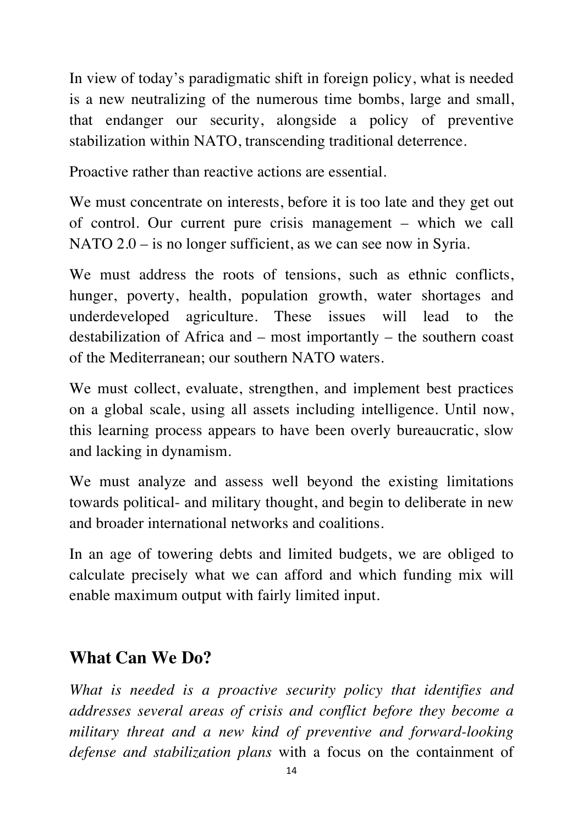In view of today's paradigmatic shift in foreign policy, what is needed is a new neutralizing of the numerous time bombs, large and small, that endanger our security, alongside a policy of preventive stabilization within NATO, transcending traditional deterrence.

Proactive rather than reactive actions are essential.

We must concentrate on interests, before it is too late and they get out of control. Our current pure crisis management – which we call NATO 2.0 – is no longer sufficient, as we can see now in Syria.

We must address the roots of tensions, such as ethnic conflicts, hunger, poverty, health, population growth, water shortages and underdeveloped agriculture. These issues will lead to the destabilization of Africa and – most importantly – the southern coast of the Mediterranean; our southern NATO waters.

We must collect, evaluate, strengthen, and implement best practices on a global scale, using all assets including intelligence. Until now, this learning process appears to have been overly bureaucratic, slow and lacking in dynamism.

We must analyze and assess well beyond the existing limitations towards political- and military thought, and begin to deliberate in new and broader international networks and coalitions.

In an age of towering debts and limited budgets, we are obliged to calculate precisely what we can afford and which funding mix will enable maximum output with fairly limited input.

# **What Can We Do?**

*What is needed is a proactive security policy that identifies and addresses several areas of crisis and conflict before they become a military threat and a new kind of preventive and forward-looking defense and stabilization plans* with a focus on the containment of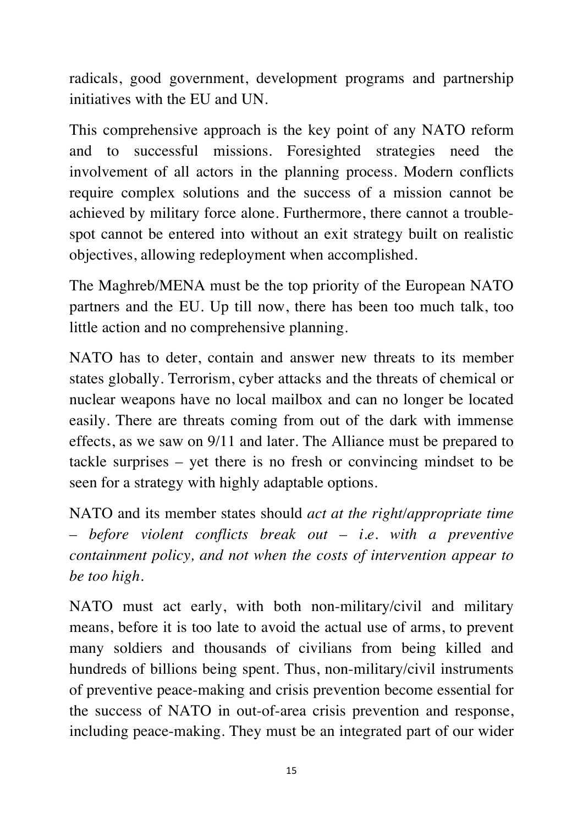radicals, good government, development programs and partnership initiatives with the EU and UN.

This comprehensive approach is the key point of any NATO reform and to successful missions. Foresighted strategies need the involvement of all actors in the planning process. Modern conflicts require complex solutions and the success of a mission cannot be achieved by military force alone. Furthermore, there cannot a troublespot cannot be entered into without an exit strategy built on realistic objectives, allowing redeployment when accomplished.

The Maghreb/MENA must be the top priority of the European NATO partners and the EU. Up till now, there has been too much talk, too little action and no comprehensive planning.

NATO has to deter, contain and answer new threats to its member states globally. Terrorism, cyber attacks and the threats of chemical or nuclear weapons have no local mailbox and can no longer be located easily. There are threats coming from out of the dark with immense effects, as we saw on 9/11 and later. The Alliance must be prepared to tackle surprises – yet there is no fresh or convincing mindset to be seen for a strategy with highly adaptable options.

NATO and its member states should *act at the right/appropriate time – before violent conflicts break out – i.e. with a preventive containment policy, and not when the costs of intervention appear to be too high.*

NATO must act early, with both non-military/civil and military means, before it is too late to avoid the actual use of arms, to prevent many soldiers and thousands of civilians from being killed and hundreds of billions being spent. Thus, non-military/civil instruments of preventive peace-making and crisis prevention become essential for the success of NATO in out-of-area crisis prevention and response, including peace-making. They must be an integrated part of our wider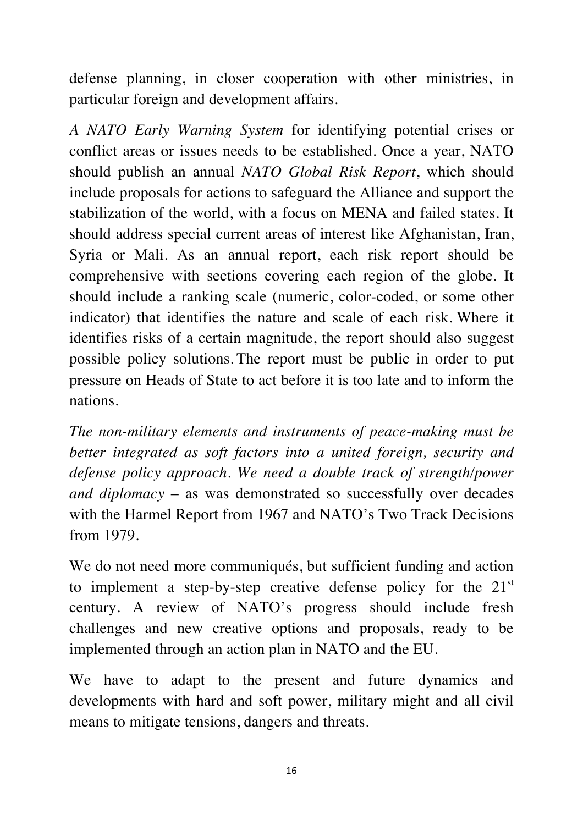defense planning, in closer cooperation with other ministries, in particular foreign and development affairs.

*A NATO Early Warning System* for identifying potential crises or conflict areas or issues needs to be established. Once a year, NATO should publish an annual *NATO Global Risk Report*, which should include proposals for actions to safeguard the Alliance and support the stabilization of the world, with a focus on MENA and failed states. It should address special current areas of interest like Afghanistan, Iran, Syria or Mali. As an annual report, each risk report should be comprehensive with sections covering each region of the globe. It should include a ranking scale (numeric, color-coded, or some other indicator) that identifies the nature and scale of each risk. Where it identifies risks of a certain magnitude, the report should also suggest possible policy solutions. The report must be public in order to put pressure on Heads of State to act before it is too late and to inform the nations.

*The non-military elements and instruments of peace-making must be better integrated as soft factors into a united foreign, security and defense policy approach. We need a double track of strength/power and diplomacy* – as was demonstrated so successfully over decades with the Harmel Report from 1967 and NATO's Two Track Decisions from 1979.

We do not need more communiqués, but sufficient funding and action to implement a step-by-step creative defense policy for the  $21<sup>st</sup>$ century. A review of NATO's progress should include fresh challenges and new creative options and proposals, ready to be implemented through an action plan in NATO and the EU.

We have to adapt to the present and future dynamics and developments with hard and soft power, military might and all civil means to mitigate tensions, dangers and threats.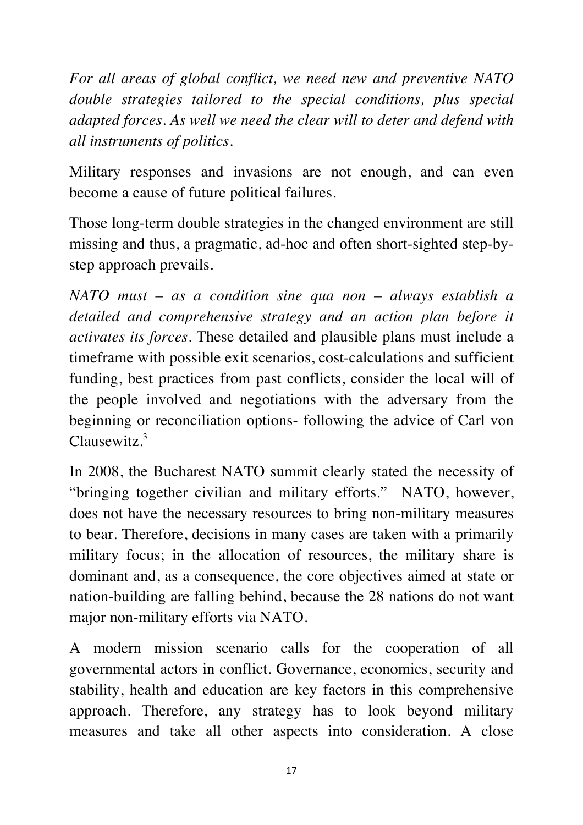*For all areas of global conflict, we need new and preventive NATO double strategies tailored to the special conditions, plus special adapted forces. As well we need the clear will to deter and defend with all instruments of politics.*

Military responses and invasions are not enough, and can even become a cause of future political failures.

Those long-term double strategies in the changed environment are still missing and thus, a pragmatic, ad-hoc and often short-sighted step-bystep approach prevails.

*NATO must – as a condition sine qua non – always establish a detailed and comprehensive strategy and an action plan before it activates its forces*. These detailed and plausible plans must include a timeframe with possible exit scenarios, cost-calculations and sufficient funding, best practices from past conflicts, consider the local will of the people involved and negotiations with the adversary from the beginning or reconciliation options- following the advice of Carl von Clausewitz.<sup>3</sup>

In 2008, the Bucharest NATO summit clearly stated the necessity of "bringing together civilian and military efforts." NATO, however, does not have the necessary resources to bring non-military measures to bear. Therefore, decisions in many cases are taken with a primarily military focus; in the allocation of resources, the military share is dominant and, as a consequence, the core objectives aimed at state or nation-building are falling behind, because the 28 nations do not want major non-military efforts via NATO.

A modern mission scenario calls for the cooperation of all governmental actors in conflict. Governance, economics, security and stability, health and education are key factors in this comprehensive approach. Therefore, any strategy has to look beyond military measures and take all other aspects into consideration. A close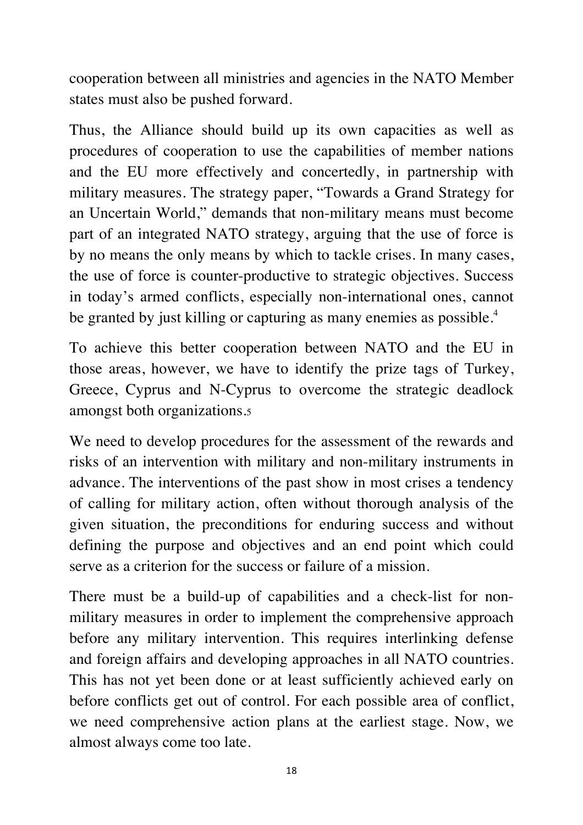cooperation between all ministries and agencies in the NATO Member states must also be pushed forward.

Thus, the Alliance should build up its own capacities as well as procedures of cooperation to use the capabilities of member nations and the EU more effectively and concertedly, in partnership with military measures. The strategy paper, "Towards a Grand Strategy for an Uncertain World," demands that non-military means must become part of an integrated NATO strategy, arguing that the use of force is by no means the only means by which to tackle crises. In many cases, the use of force is counter-productive to strategic objectives. Success in today's armed conflicts, especially non-international ones, cannot be granted by just killing or capturing as many enemies as possible.<sup>4</sup>

To achieve this better cooperation between NATO and the EU in those areas, however, we have to identify the prize tags of Turkey, Greece, Cyprus and N-Cyprus to overcome the strategic deadlock amongst both organizations.5

We need to develop procedures for the assessment of the rewards and risks of an intervention with military and non-military instruments in advance. The interventions of the past show in most crises a tendency of calling for military action, often without thorough analysis of the given situation, the preconditions for enduring success and without defining the purpose and objectives and an end point which could serve as a criterion for the success or failure of a mission.

There must be a build-up of capabilities and a check-list for nonmilitary measures in order to implement the comprehensive approach before any military intervention. This requires interlinking defense and foreign affairs and developing approaches in all NATO countries. This has not yet been done or at least sufficiently achieved early on before conflicts get out of control. For each possible area of conflict, we need comprehensive action plans at the earliest stage. Now, we almost always come too late.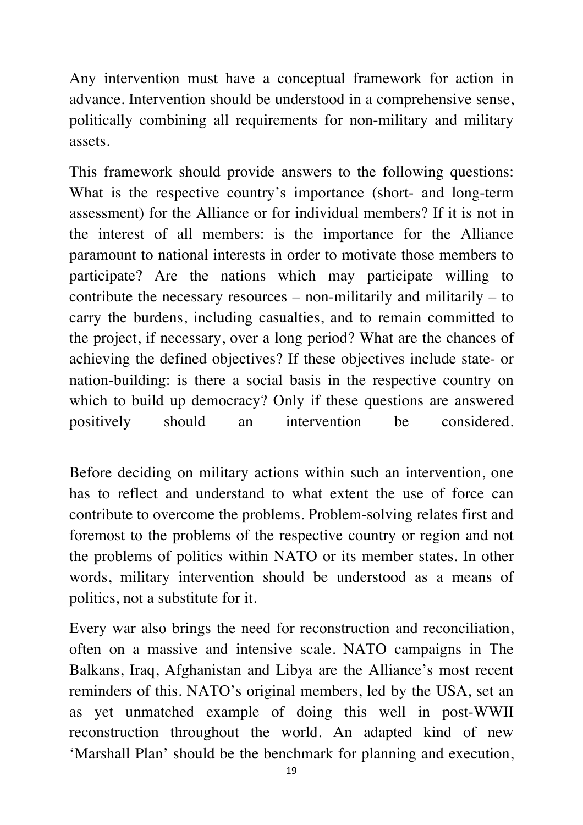Any intervention must have a conceptual framework for action in advance. Intervention should be understood in a comprehensive sense, politically combining all requirements for non-military and military assets.

This framework should provide answers to the following questions: What is the respective country's importance (short- and long-term assessment) for the Alliance or for individual members? If it is not in the interest of all members: is the importance for the Alliance paramount to national interests in order to motivate those members to participate? Are the nations which may participate willing to contribute the necessary resources – non-militarily and militarily – to carry the burdens, including casualties, and to remain committed to the project, if necessary, over a long period? What are the chances of achieving the defined objectives? If these objectives include state- or nation-building: is there a social basis in the respective country on which to build up democracy? Only if these questions are answered positively should an intervention be considered.

Before deciding on military actions within such an intervention, one has to reflect and understand to what extent the use of force can contribute to overcome the problems. Problem-solving relates first and foremost to the problems of the respective country or region and not the problems of politics within NATO or its member states. In other words, military intervention should be understood as a means of politics, not a substitute for it.

Every war also brings the need for reconstruction and reconciliation, often on a massive and intensive scale. NATO campaigns in The Balkans, Iraq, Afghanistan and Libya are the Alliance's most recent reminders of this. NATO's original members, led by the USA, set an as yet unmatched example of doing this well in post-WWII reconstruction throughout the world. An adapted kind of new 'Marshall Plan' should be the benchmark for planning and execution,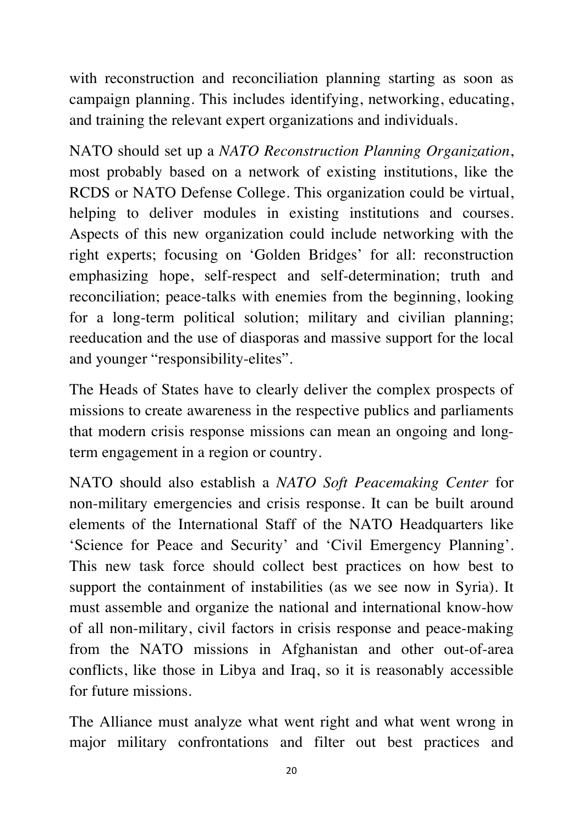with reconstruction and reconciliation planning starting as soon as campaign planning. This includes identifying, networking, educating, and training the relevant expert organizations and individuals.

NATO should set up a *NATO Reconstruction Planning Organization*, most probably based on a network of existing institutions, like the RCDS or NATO Defense College. This organization could be virtual, helping to deliver modules in existing institutions and courses. Aspects of this new organization could include networking with the right experts; focusing on 'Golden Bridges' for all: reconstruction emphasizing hope, self-respect and self-determination; truth and reconciliation; peace-talks with enemies from the beginning, looking for a long-term political solution; military and civilian planning; reeducation and the use of diasporas and massive support for the local and younger "responsibility-elites".

The Heads of States have to clearly deliver the complex prospects of missions to create awareness in the respective publics and parliaments that modern crisis response missions can mean an ongoing and longterm engagement in a region or country.

NATO should also establish a *NATO Soft Peacemaking Center* for non-military emergencies and crisis response. It can be built around elements of the International Staff of the NATO Headquarters like 'Science for Peace and Security' and 'Civil Emergency Planning'. This new task force should collect best practices on how best to support the containment of instabilities (as we see now in Syria). It must assemble and organize the national and international know-how of all non-military, civil factors in crisis response and peace-making from the NATO missions in Afghanistan and other out-of-area conflicts, like those in Libya and Iraq, so it is reasonably accessible for future missions.

The Alliance must analyze what went right and what went wrong in major military confrontations and filter out best practices and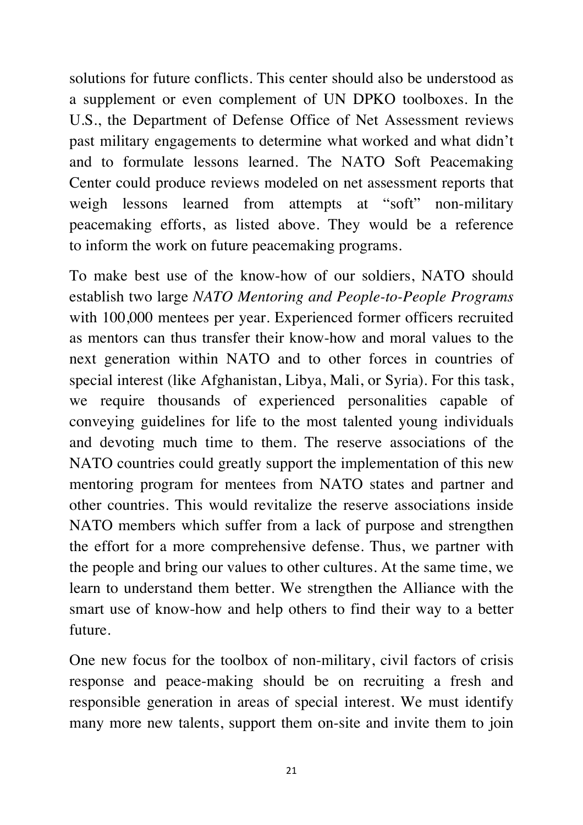solutions for future conflicts. This center should also be understood as a supplement or even complement of UN DPKO toolboxes. In the U.S., the Department of Defense Office of Net Assessment reviews past military engagements to determine what worked and what didn't and to formulate lessons learned. The NATO Soft Peacemaking Center could produce reviews modeled on net assessment reports that weigh lessons learned from attempts at "soft" non-military peacemaking efforts, as listed above. They would be a reference to inform the work on future peacemaking programs.

To make best use of the know-how of our soldiers, NATO should establish two large *NATO Mentoring and People-to-People Programs*  with 100,000 mentees per year. Experienced former officers recruited as mentors can thus transfer their know-how and moral values to the next generation within NATO and to other forces in countries of special interest (like Afghanistan, Libya, Mali, or Syria). For this task, we require thousands of experienced personalities capable of conveying guidelines for life to the most talented young individuals and devoting much time to them. The reserve associations of the NATO countries could greatly support the implementation of this new mentoring program for mentees from NATO states and partner and other countries. This would revitalize the reserve associations inside NATO members which suffer from a lack of purpose and strengthen the effort for a more comprehensive defense. Thus, we partner with the people and bring our values to other cultures. At the same time, we learn to understand them better. We strengthen the Alliance with the smart use of know-how and help others to find their way to a better future.

One new focus for the toolbox of non-military, civil factors of crisis response and peace-making should be on recruiting a fresh and responsible generation in areas of special interest. We must identify many more new talents, support them on-site and invite them to join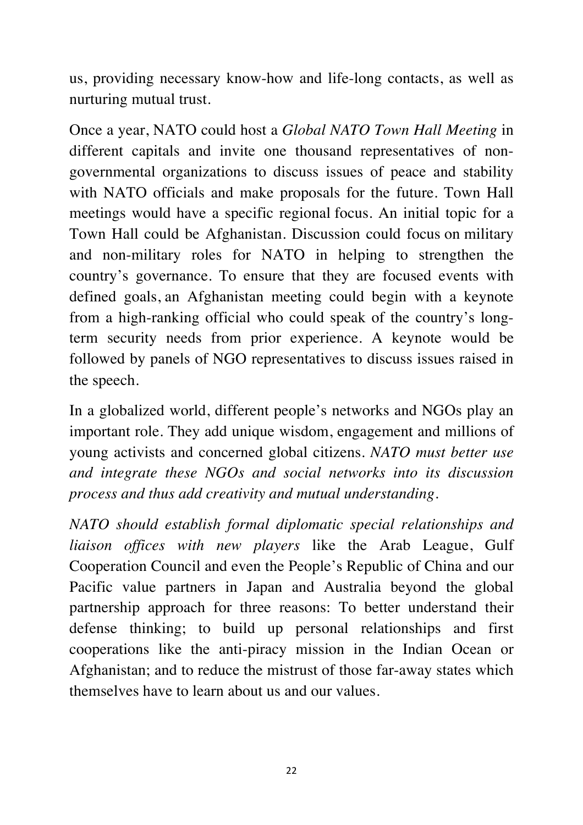us, providing necessary know-how and life-long contacts, as well as nurturing mutual trust.

Once a year, NATO could host a *Global NATO Town Hall Meeting* in different capitals and invite one thousand representatives of nongovernmental organizations to discuss issues of peace and stability with NATO officials and make proposals for the future. Town Hall meetings would have a specific regional focus. An initial topic for a Town Hall could be Afghanistan. Discussion could focus on military and non-military roles for NATO in helping to strengthen the country's governance. To ensure that they are focused events with defined goals, an Afghanistan meeting could begin with a keynote from a high-ranking official who could speak of the country's longterm security needs from prior experience. A keynote would be followed by panels of NGO representatives to discuss issues raised in the speech.

In a globalized world, different people's networks and NGOs play an important role. They add unique wisdom, engagement and millions of young activists and concerned global citizens. *NATO must better use and integrate these NGOs and social networks into its discussion process and thus add creativity and mutual understanding.*

*NATO should establish formal diplomatic special relationships and liaison offices with new players* like the Arab League, Gulf Cooperation Council and even the People's Republic of China and our Pacific value partners in Japan and Australia beyond the global partnership approach for three reasons: To better understand their defense thinking; to build up personal relationships and first cooperations like the anti-piracy mission in the Indian Ocean or Afghanistan; and to reduce the mistrust of those far-away states which themselves have to learn about us and our values.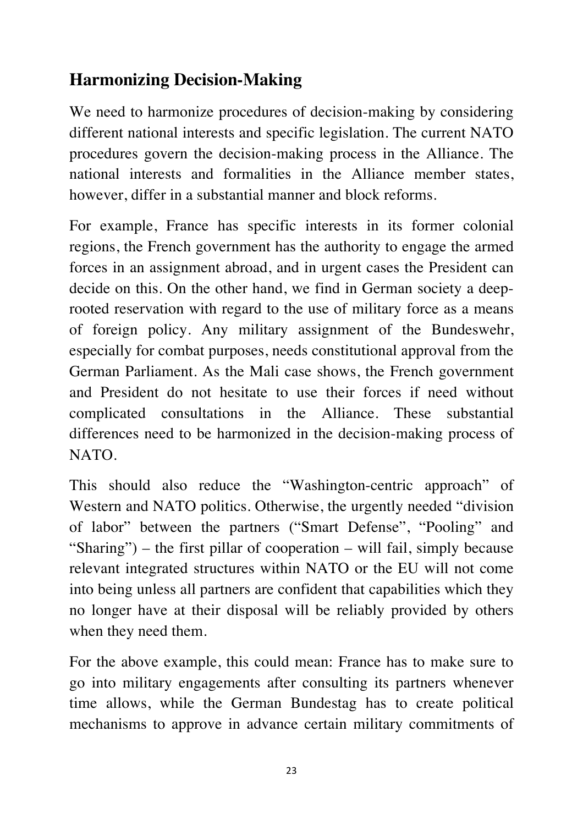# **Harmonizing Decision-Making**

We need to harmonize procedures of decision-making by considering different national interests and specific legislation. The current NATO procedures govern the decision-making process in the Alliance. The national interests and formalities in the Alliance member states, however, differ in a substantial manner and block reforms.

For example, France has specific interests in its former colonial regions, the French government has the authority to engage the armed forces in an assignment abroad, and in urgent cases the President can decide on this. On the other hand, we find in German society a deeprooted reservation with regard to the use of military force as a means of foreign policy. Any military assignment of the Bundeswehr, especially for combat purposes, needs constitutional approval from the German Parliament. As the Mali case shows, the French government and President do not hesitate to use their forces if need without complicated consultations in the Alliance. These substantial differences need to be harmonized in the decision-making process of NATO.

This should also reduce the "Washington-centric approach" of Western and NATO politics. Otherwise, the urgently needed "division of labor" between the partners ("Smart Defense", "Pooling" and "Sharing") – the first pillar of cooperation – will fail, simply because relevant integrated structures within NATO or the EU will not come into being unless all partners are confident that capabilities which they no longer have at their disposal will be reliably provided by others when they need them.

For the above example, this could mean: France has to make sure to go into military engagements after consulting its partners whenever time allows, while the German Bundestag has to create political mechanisms to approve in advance certain military commitments of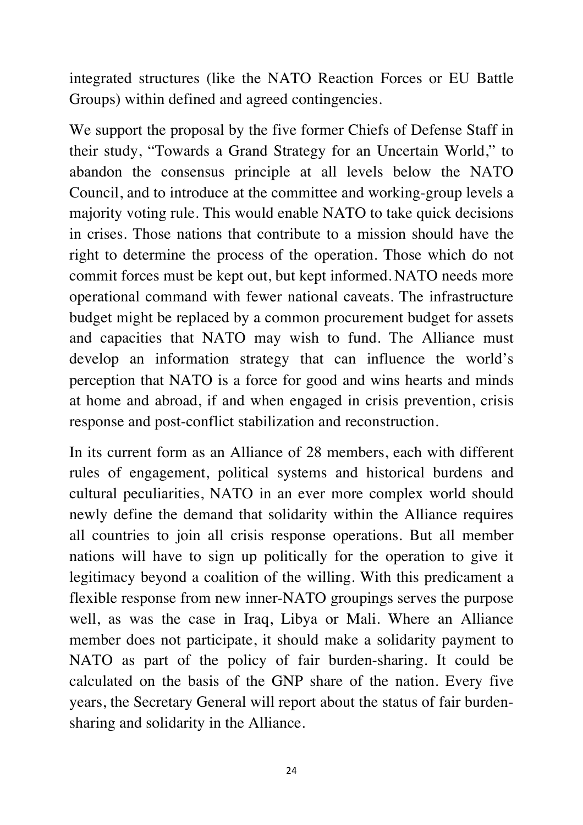integrated structures (like the NATO Reaction Forces or EU Battle Groups) within defined and agreed contingencies.

We support the proposal by the five former Chiefs of Defense Staff in their study, "Towards a Grand Strategy for an Uncertain World," to abandon the consensus principle at all levels below the NATO Council, and to introduce at the committee and working-group levels a majority voting rule. This would enable NATO to take quick decisions in crises. Those nations that contribute to a mission should have the right to determine the process of the operation. Those which do not commit forces must be kept out, but kept informed. NATO needs more operational command with fewer national caveats. The infrastructure budget might be replaced by a common procurement budget for assets and capacities that NATO may wish to fund. The Alliance must develop an information strategy that can influence the world's perception that NATO is a force for good and wins hearts and minds at home and abroad, if and when engaged in crisis prevention, crisis response and post-conflict stabilization and reconstruction.

In its current form as an Alliance of 28 members, each with different rules of engagement, political systems and historical burdens and cultural peculiarities, NATO in an ever more complex world should newly define the demand that solidarity within the Alliance requires all countries to join all crisis response operations. But all member nations will have to sign up politically for the operation to give it legitimacy beyond a coalition of the willing. With this predicament a flexible response from new inner-NATO groupings serves the purpose well, as was the case in Iraq, Libya or Mali. Where an Alliance member does not participate, it should make a solidarity payment to NATO as part of the policy of fair burden-sharing. It could be calculated on the basis of the GNP share of the nation. Every five years, the Secretary General will report about the status of fair burdensharing and solidarity in the Alliance.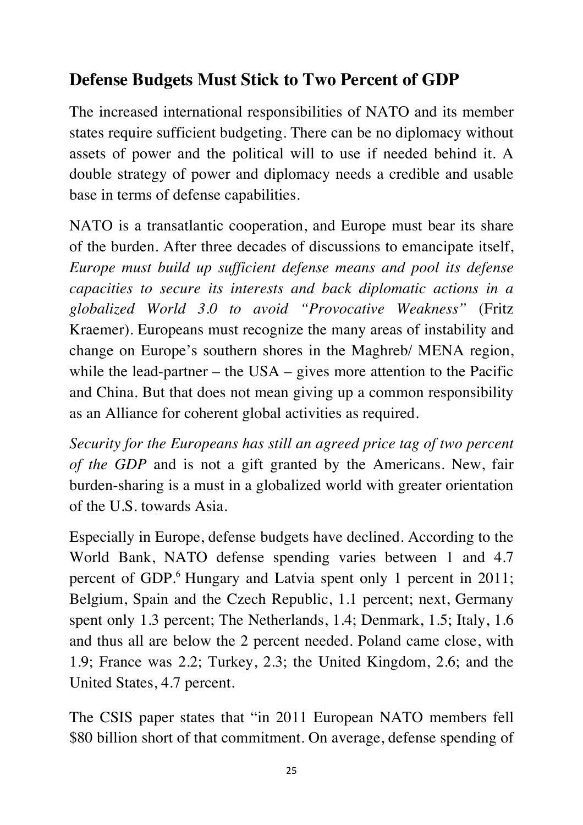# **Defense Budgets Must Stick to Two Percent of GDP**

The increased international responsibilities of NATO and its member states require sufficient budgeting. There can be no diplomacy without assets of power and the political will to use if needed behind it. A double strategy of power and diplomacy needs a credible and usable base in terms of defense capabilities.

NATO is a transatlantic cooperation, and Europe must bear its share of the burden. After three decades of discussions to emancipate itself, *Europe must build up sufficient defense means and pool its defense capacities to secure its interests and back diplomatic actions in a globalized World 3.0 to avoid "Provocative Weakness"* (Fritz Kraemer)*.* Europeans must recognize the many areas of instability and change on Europe's southern shores in the Maghreb/ MENA region, while the lead-partner – the USA – gives more attention to the Pacific and China. But that does not mean giving up a common responsibility as an Alliance for coherent global activities as required.

*Security for the Europeans has still an agreed price tag of two percent of the GDP* and is not a gift granted by the Americans. New, fair burden-sharing is a must in a globalized world with greater orientation of the U.S. towards Asia.

Especially in Europe, defense budgets have declined. According to the World Bank, NATO defense spending varies between 1 and 4.7 percent of GDP.<sup>6</sup> Hungary and Latvia spent only 1 percent in 2011; Belgium, Spain and the Czech Republic, 1.1 percent; next, Germany spent only 1.3 percent; The Netherlands, 1.4; Denmark, 1.5; Italy, 1.6 and thus all are below the 2 percent needed. Poland came close, with 1.9; France was 2.2; Turkey, 2.3; the United Kingdom, 2.6; and the United States, 4.7 percent.

The CSIS paper states that "in 2011 European NATO members fell \$80 billion short of that commitment. On average, defense spending of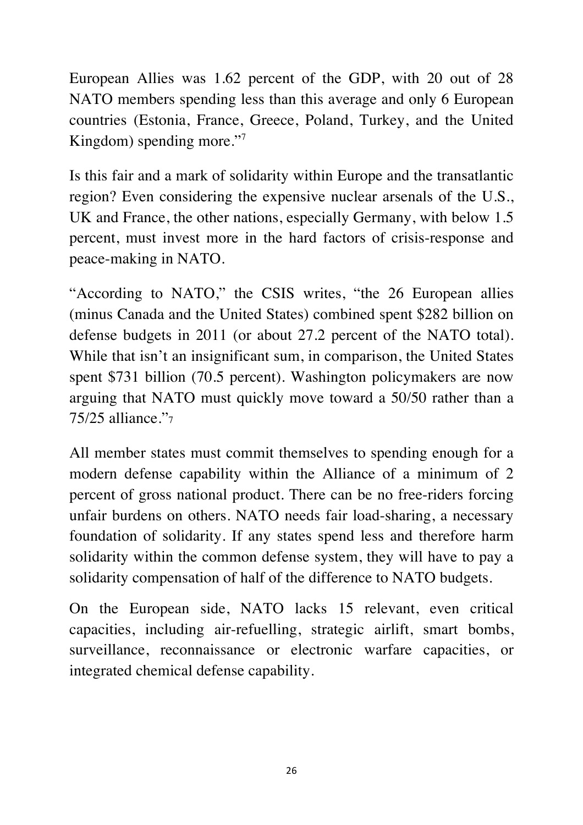European Allies was 1.62 percent of the GDP, with 20 out of 28 NATO members spending less than this average and only 6 European countries (Estonia, France, Greece, Poland, Turkey, and the United Kingdom) spending more."<sup>7</sup>

Is this fair and a mark of solidarity within Europe and the transatlantic region? Even considering the expensive nuclear arsenals of the U.S., UK and France, the other nations, especially Germany, with below 1.5 percent, must invest more in the hard factors of crisis-response and peace-making in NATO.

"According to NATO," the CSIS writes, "the 26 European allies (minus Canada and the United States) combined spent \$282 billion on defense budgets in 2011 (or about 27.2 percent of the NATO total). While that isn't an insignificant sum, in comparison, the United States spent \$731 billion (70.5 percent). Washington policymakers are now arguing that NATO must quickly move toward a 50/50 rather than a 75/25 alliance."7

All member states must commit themselves to spending enough for a modern defense capability within the Alliance of a minimum of 2 percent of gross national product. There can be no free-riders forcing unfair burdens on others. NATO needs fair load-sharing, a necessary foundation of solidarity. If any states spend less and therefore harm solidarity within the common defense system, they will have to pay a solidarity compensation of half of the difference to NATO budgets.

On the European side, NATO lacks 15 relevant, even critical capacities, including air-refuelling, strategic airlift, smart bombs, surveillance, reconnaissance or electronic warfare capacities, or integrated chemical defense capability.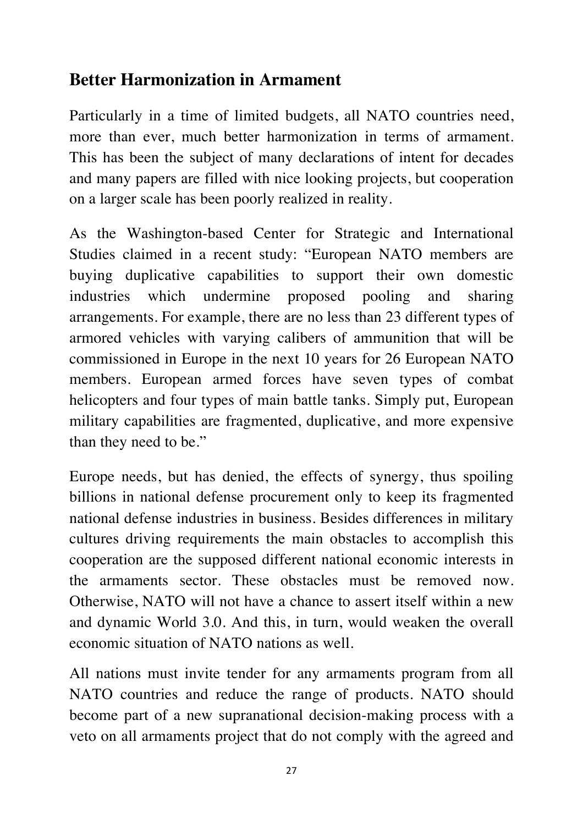## **Better Harmonization in Armament**

Particularly in a time of limited budgets, all NATO countries need, more than ever, much better harmonization in terms of armament. This has been the subject of many declarations of intent for decades and many papers are filled with nice looking projects, but cooperation on a larger scale has been poorly realized in reality.

As the Washington-based Center for Strategic and International Studies claimed in a recent study: "European NATO members are buying duplicative capabilities to support their own domestic industries which undermine proposed pooling and sharing arrangements. For example, there are no less than 23 different types of armored vehicles with varying calibers of ammunition that will be commissioned in Europe in the next 10 years for 26 European NATO members. European armed forces have seven types of combat helicopters and four types of main battle tanks. Simply put, European military capabilities are fragmented, duplicative, and more expensive than they need to be."

Europe needs, but has denied, the effects of synergy, thus spoiling billions in national defense procurement only to keep its fragmented national defense industries in business. Besides differences in military cultures driving requirements the main obstacles to accomplish this cooperation are the supposed different national economic interests in the armaments sector. These obstacles must be removed now. Otherwise, NATO will not have a chance to assert itself within a new and dynamic World 3.0. And this, in turn, would weaken the overall economic situation of NATO nations as well.

All nations must invite tender for any armaments program from all NATO countries and reduce the range of products. NATO should become part of a new supranational decision-making process with a veto on all armaments project that do not comply with the agreed and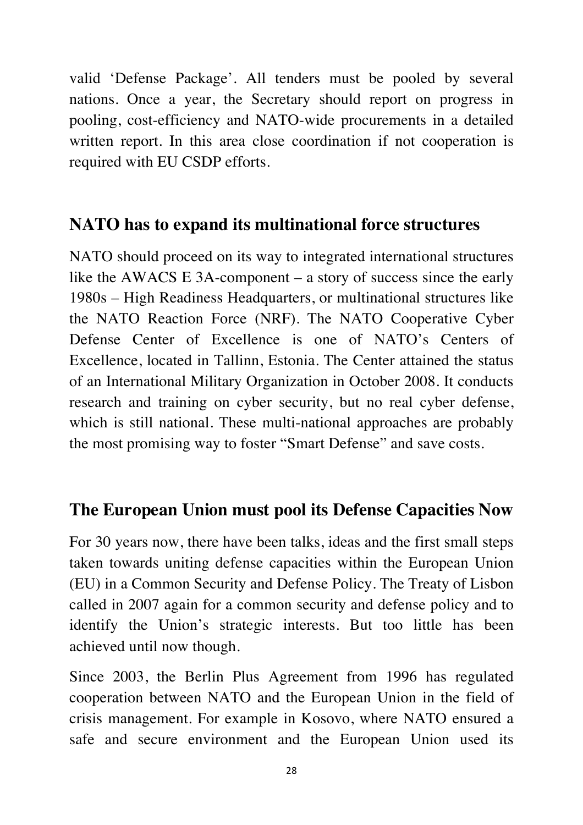valid 'Defense Package'. All tenders must be pooled by several nations. Once a year, the Secretary should report on progress in pooling, cost-efficiency and NATO-wide procurements in a detailed written report. In this area close coordination if not cooperation is required with EU CSDP efforts.

## **NATO has to expand its multinational force structures**

NATO should proceed on its way to integrated international structures like the AWACS E 3A-component – a story of success since the early 1980s – High Readiness Headquarters, or multinational structures like the NATO Reaction Force (NRF). The NATO Cooperative Cyber Defense Center of Excellence is one of NATO's Centers of Excellence, located in Tallinn, Estonia. The Center attained the status of an International Military Organization in October 2008. It conducts research and training on cyber security, but no real cyber defense, which is still national. These multi-national approaches are probably the most promising way to foster "Smart Defense" and save costs.

## **The European Union must pool its Defense Capacities Now**

For 30 years now, there have been talks, ideas and the first small steps taken towards uniting defense capacities within the European Union (EU) in a Common Security and Defense Policy. The Treaty of Lisbon called in 2007 again for a common security and defense policy and to identify the Union's strategic interests. But too little has been achieved until now though.

Since 2003, the Berlin Plus Agreement from 1996 has regulated cooperation between NATO and the European Union in the field of crisis management. For example in Kosovo, where NATO ensured a safe and secure environment and the European Union used its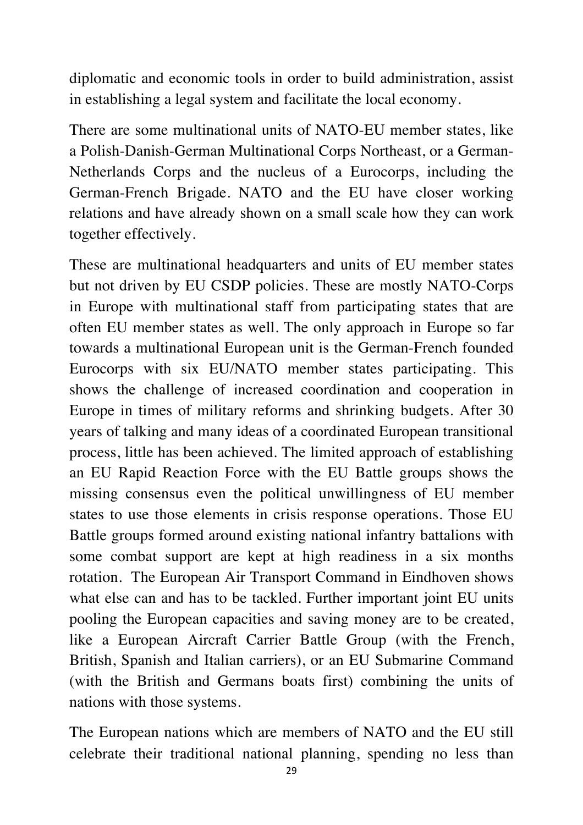diplomatic and economic tools in order to build administration, assist in establishing a legal system and facilitate the local economy.

There are some multinational units of NATO-EU member states, like a Polish-Danish-German Multinational Corps Northeast, or a German-Netherlands Corps and the nucleus of a Eurocorps, including the German-French Brigade. NATO and the EU have closer working relations and have already shown on a small scale how they can work together effectively.

These are multinational headquarters and units of EU member states but not driven by EU CSDP policies. These are mostly NATO-Corps in Europe with multinational staff from participating states that are often EU member states as well. The only approach in Europe so far towards a multinational European unit is the German-French founded Eurocorps with six EU/NATO member states participating. This shows the challenge of increased coordination and cooperation in Europe in times of military reforms and shrinking budgets. After 30 years of talking and many ideas of a coordinated European transitional process, little has been achieved. The limited approach of establishing an EU Rapid Reaction Force with the EU Battle groups shows the missing consensus even the political unwillingness of EU member states to use those elements in crisis response operations. Those EU Battle groups formed around existing national infantry battalions with some combat support are kept at high readiness in a six months rotation. The European Air Transport Command in Eindhoven shows what else can and has to be tackled. Further important joint EU units pooling the European capacities and saving money are to be created, like a European Aircraft Carrier Battle Group (with the French, British, Spanish and Italian carriers), or an EU Submarine Command (with the British and Germans boats first) combining the units of nations with those systems.

The European nations which are members of NATO and the EU still celebrate their traditional national planning, spending no less than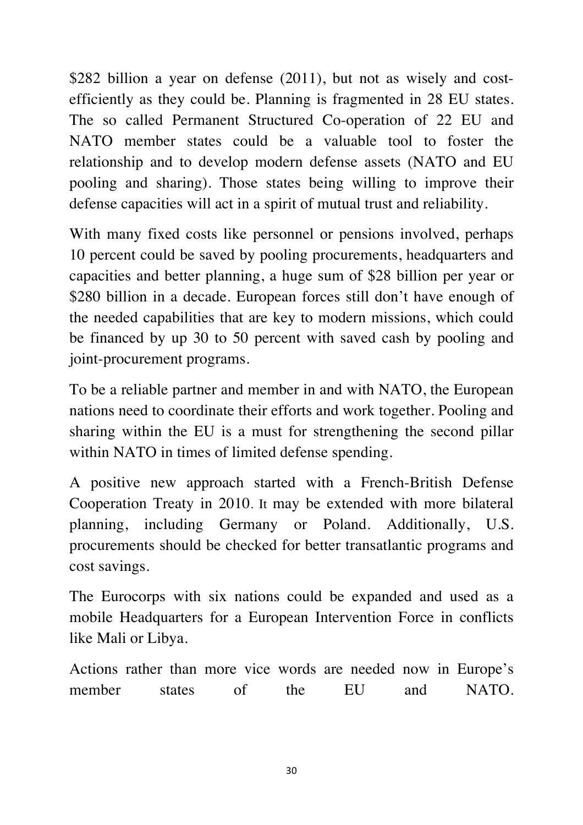\$282 billion a year on defense (2011), but not as wisely and costefficiently as they could be. Planning is fragmented in 28 EU states. The so called Permanent Structured Co-operation of 22 EU and NATO member states could be a valuable tool to foster the relationship and to develop modern defense assets (NATO and EU pooling and sharing). Those states being willing to improve their defense capacities will act in a spirit of mutual trust and reliability.

With many fixed costs like personnel or pensions involved, perhaps 10 percent could be saved by pooling procurements, headquarters and capacities and better planning, a huge sum of \$28 billion per year or \$280 billion in a decade. European forces still don't have enough of the needed capabilities that are key to modern missions, which could be financed by up 30 to 50 percent with saved cash by pooling and joint-procurement programs.

To be a reliable partner and member in and with NATO, the European nations need to coordinate their efforts and work together. Pooling and sharing within the EU is a must for strengthening the second pillar within NATO in times of limited defense spending.

A positive new approach started with a French-British Defense Cooperation Treaty in 2010. It may be extended with more bilateral planning, including Germany or Poland. Additionally, U.S. procurements should be checked for better transatlantic programs and cost savings.

The Eurocorps with six nations could be expanded and used as a mobile Headquarters for a European Intervention Force in conflicts like Mali or Libya.

Actions rather than more vice words are needed now in Europe's member states of the EU and NATO.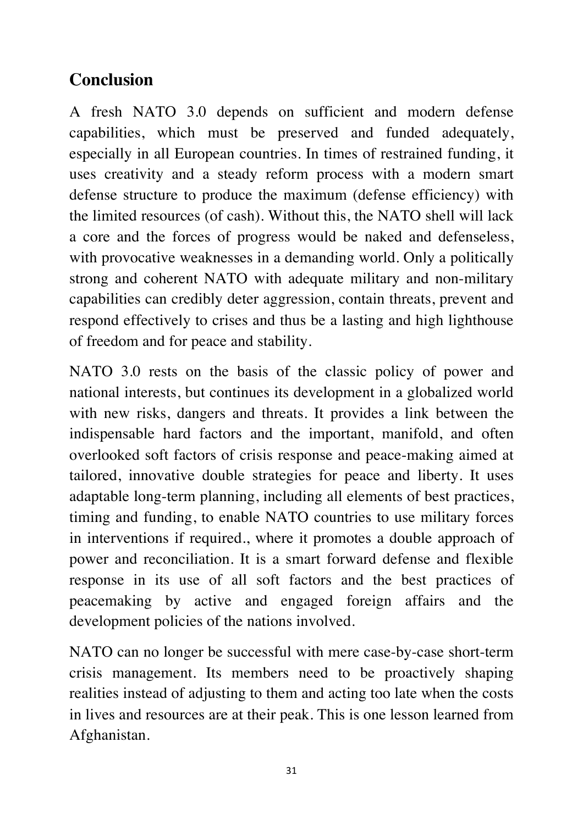# **Conclusion**

A fresh NATO 3.0 depends on sufficient and modern defense capabilities, which must be preserved and funded adequately, especially in all European countries. In times of restrained funding, it uses creativity and a steady reform process with a modern smart defense structure to produce the maximum (defense efficiency) with the limited resources (of cash). Without this, the NATO shell will lack a core and the forces of progress would be naked and defenseless, with provocative weaknesses in a demanding world. Only a politically strong and coherent NATO with adequate military and non-military capabilities can credibly deter aggression, contain threats, prevent and respond effectively to crises and thus be a lasting and high lighthouse of freedom and for peace and stability.

NATO 3.0 rests on the basis of the classic policy of power and national interests, but continues its development in a globalized world with new risks, dangers and threats. It provides a link between the indispensable hard factors and the important, manifold, and often overlooked soft factors of crisis response and peace-making aimed at tailored, innovative double strategies for peace and liberty. It uses adaptable long-term planning, including all elements of best practices, timing and funding, to enable NATO countries to use military forces in interventions if required., where it promotes a double approach of power and reconciliation. It is a smart forward defense and flexible response in its use of all soft factors and the best practices of peacemaking by active and engaged foreign affairs and the development policies of the nations involved.

NATO can no longer be successful with mere case-by-case short-term crisis management. Its members need to be proactively shaping realities instead of adjusting to them and acting too late when the costs in lives and resources are at their peak. This is one lesson learned from Afghanistan.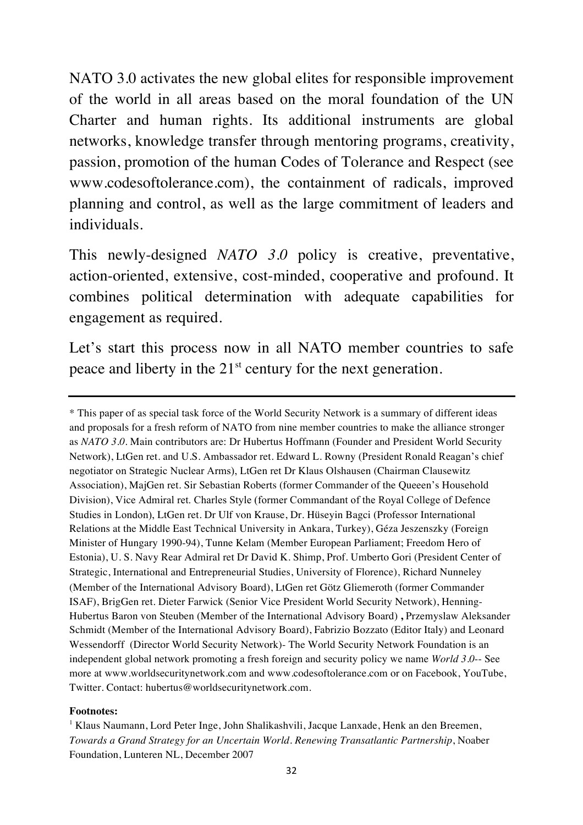NATO 3.0 activates the new global elites for responsible improvement of the world in all areas based on the moral foundation of the UN Charter and human rights. Its additional instruments are global networks, knowledge transfer through mentoring programs, creativity, passion, promotion of the human Codes of Tolerance and Respect (see www.codesoftolerance.com), the containment of radicals, improved planning and control, as well as the large commitment of leaders and individuals.

This newly-designed *NATO 3.0* policy is creative, preventative, action-oriented, extensive, cost-minded, cooperative and profound. It combines political determination with adequate capabilities for engagement as required.

Let's start this process now in all NATO member countries to safe peace and liberty in the  $21<sup>st</sup>$  century for the next generation.

#### **Footnotes:**

<sup>\*</sup> This paper of as special task force of the World Security Network is a summary of different ideas and proposals for a fresh reform of NATO from nine member countries to make the alliance stronger as *NATO 3.0*. Main contributors are: Dr Hubertus Hoffmann (Founder and President World Security Network), LtGen ret. and U.S. Ambassador ret. Edward L. Rowny (President Ronald Reagan's chief negotiator on Strategic Nuclear Arms), LtGen ret Dr Klaus Olshausen (Chairman Clausewitz Association), MajGen ret. Sir Sebastian Roberts (former Commander of the Queeen's Household Division), Vice Admiral ret. Charles Style (former Commandant of the Royal College of Defence Studies in London), LtGen ret. Dr Ulf von Krause, Dr. Hüseyin Bagci (Professor International Relations at the Middle East Technical University in Ankara, Turkey), Géza Jeszenszky (Foreign Minister of Hungary 1990-94), Tunne Kelam (Member European Parliament; Freedom Hero of Estonia), U. S. Navy Rear Admiral ret Dr David K. Shimp, Prof. Umberto Gori (President Center of Strategic, International and Entrepreneurial Studies, University of Florence), Richard Nunneley (Member of the International Advisory Board), LtGen ret Götz Gliemeroth (former Commander ISAF), BrigGen ret. Dieter Farwick (Senior Vice President World Security Network), Henning-Hubertus Baron von Steuben (Member of the International Advisory Board) **,** Przemyslaw Aleksander Schmidt (Member of the International Advisory Board), Fabrizio Bozzato (Editor Italy) and Leonard Wessendorff (Director World Security Network)- The World Security Network Foundation is an independent global network promoting a fresh foreign and security policy we name *World 3.0*-- See more at www.worldsecuritynetwork.com and www.codesoftolerance.com or on Facebook, YouTube, Twitter. Contact: hubertus@worldsecuritynetwork.com.

 $<sup>1</sup>$  Klaus Naumann, Lord Peter Inge, John Shalikashvili, Jacque Lanxade, Henk an den Breemen,</sup> *Towards a Grand Strategy for an Uncertain World. Renewing Transatlantic Partnership*, Noaber Foundation, Lunteren NL, December 2007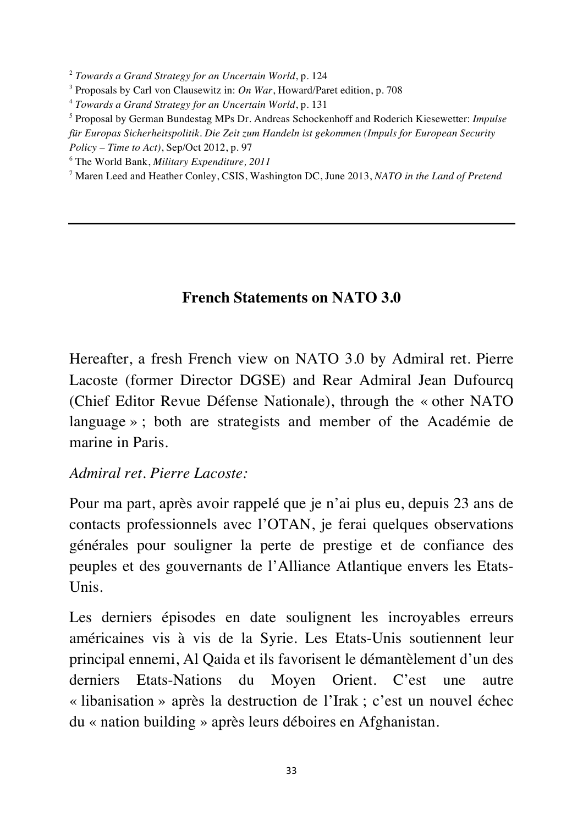<sup>2</sup> *Towards a Grand Strategy for an Uncertain World*, p. 124

<sup>3</sup> Proposals by Carl von Clausewitz in: *On War*, Howard/Paret edition, p. 708

<sup>4</sup> *Towards a Grand Strategy for an Uncertain World*, p. 131

<sup>5</sup> Proposal by German Bundestag MPs Dr. Andreas Schockenhoff and Roderich Kiesewetter: *Impulse für Europas Sicherheitspolitik. Die Zeit zum Handeln ist gekommen (Impuls for European Security Policy – Time to Act)*, Sep/Oct 2012, p. 97

<sup>6</sup> The World Bank, *Military Expenditure, 2011*

<sup>7</sup> Maren Leed and Heather Conley, CSIS, Washington DC, June 2013, *NATO in the Land of Pretend*

#### **French Statements on NATO 3.0**

Hereafter, a fresh French view on NATO 3.0 by Admiral ret. Pierre Lacoste (former Director DGSE) and Rear Admiral Jean Dufourcq (Chief Editor Revue Défense Nationale), through the « other NATO language » ; both are strategists and member of the Académie de marine in Paris.

#### *Admiral ret. Pierre Lacoste:*

Pour ma part, après avoir rappelé que je n'ai plus eu, depuis 23 ans de contacts professionnels avec l'OTAN, je ferai quelques observations générales pour souligner la perte de prestige et de confiance des peuples et des gouvernants de l'Alliance Atlantique envers les Etats-Unis.

Les derniers épisodes en date soulignent les incroyables erreurs américaines vis à vis de la Syrie. Les Etats-Unis soutiennent leur principal ennemi, Al Qaida et ils favorisent le démantèlement d'un des derniers Etats-Nations du Moyen Orient. C'est une autre « libanisation » après la destruction de l'Irak ; c'est un nouvel échec du « nation building » après leurs déboires en Afghanistan.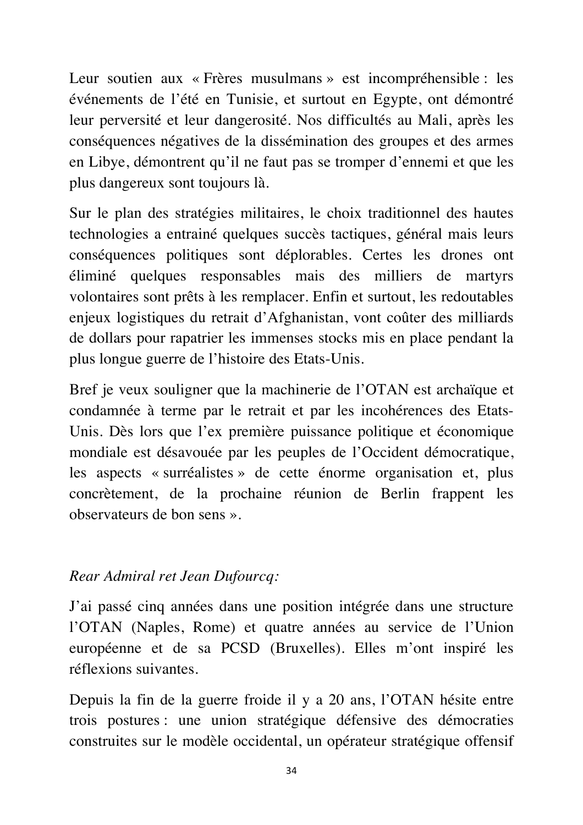Leur soutien aux « Frères musulmans » est incompréhensible : les événements de l'été en Tunisie, et surtout en Egypte, ont démontré leur perversité et leur dangerosité. Nos difficultés au Mali, après les conséquences négatives de la dissémination des groupes et des armes en Libye, démontrent qu'il ne faut pas se tromper d'ennemi et que les plus dangereux sont toujours là.

Sur le plan des stratégies militaires, le choix traditionnel des hautes technologies a entrainé quelques succès tactiques, général mais leurs conséquences politiques sont déplorables. Certes les drones ont éliminé quelques responsables mais des milliers de martyrs volontaires sont prêts à les remplacer. Enfin et surtout, les redoutables enjeux logistiques du retrait d'Afghanistan, vont coûter des milliards de dollars pour rapatrier les immenses stocks mis en place pendant la plus longue guerre de l'histoire des Etats-Unis.

Bref je veux souligner que la machinerie de l'OTAN est archaïque et condamnée à terme par le retrait et par les incohérences des Etats-Unis. Dès lors que l'ex première puissance politique et économique mondiale est désavouée par les peuples de l'Occident démocratique, les aspects « surréalistes » de cette énorme organisation et, plus concrètement, de la prochaine réunion de Berlin frappent les observateurs de bon sens ».

#### *Rear Admiral ret Jean Dufourcq:*

J'ai passé cinq années dans une position intégrée dans une structure l'OTAN (Naples, Rome) et quatre années au service de l'Union européenne et de sa PCSD (Bruxelles). Elles m'ont inspiré les réflexions suivantes.

Depuis la fin de la guerre froide il y a 20 ans, l'OTAN hésite entre trois postures : une union stratégique défensive des démocraties construites sur le modèle occidental, un opérateur stratégique offensif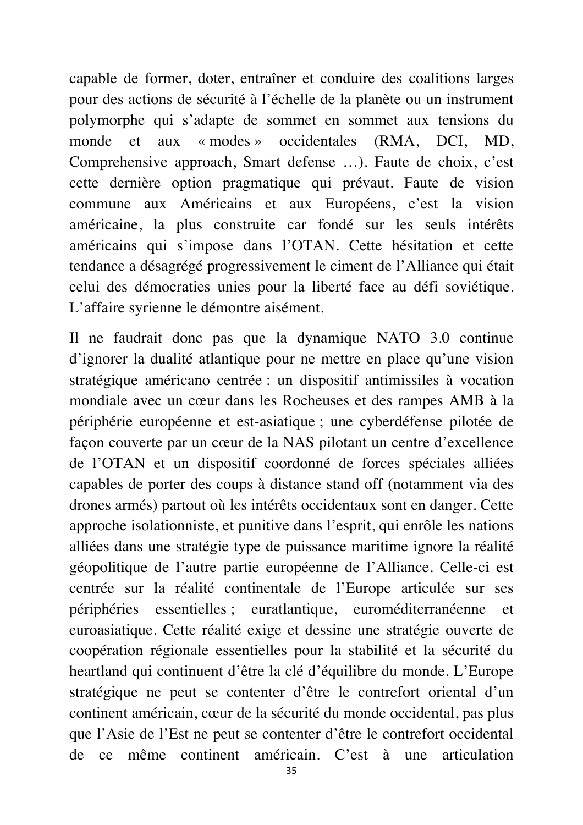capable de former, doter, entraîner et conduire des coalitions larges pour des actions de sécurité à l'échelle de la planète ou un instrument polymorphe qui s'adapte de sommet en sommet aux tensions du monde et aux « modes » occidentales (RMA, DCI, MD, Comprehensive approach, Smart defense …). Faute de choix, c'est cette dernière option pragmatique qui prévaut. Faute de vision commune aux Américains et aux Européens, c'est la vision américaine, la plus construite car fondé sur les seuls intérêts américains qui s'impose dans l'OTAN. Cette hésitation et cette tendance a désagrégé progressivement le ciment de l'Alliance qui était celui des démocraties unies pour la liberté face au défi soviétique. L'affaire syrienne le démontre aisément.

Il ne faudrait donc pas que la dynamique NATO 3.0 continue d'ignorer la dualité atlantique pour ne mettre en place qu'une vision stratégique américano centrée : un dispositif antimissiles à vocation mondiale avec un cœur dans les Rocheuses et des rampes AMB à la périphérie européenne et est-asiatique ; une cyberdéfense pilotée de façon couverte par un cœur de la NAS pilotant un centre d'excellence de l'OTAN et un dispositif coordonné de forces spéciales alliées capables de porter des coups à distance stand off (notamment via des drones armés) partout où les intérêts occidentaux sont en danger. Cette approche isolationniste, et punitive dans l'esprit, qui enrôle les nations alliées dans une stratégie type de puissance maritime ignore la réalité géopolitique de l'autre partie européenne de l'Alliance. Celle-ci est centrée sur la réalité continentale de l'Europe articulée sur ses périphéries essentielles ; euratlantique, euroméditerranéenne et euroasiatique. Cette réalité exige et dessine une stratégie ouverte de coopération régionale essentielles pour la stabilité et la sécurité du heartland qui continuent d'être la clé d'équilibre du monde. L'Europe stratégique ne peut se contenter d'être le contrefort oriental d'un continent américain, cœur de la sécurité du monde occidental, pas plus que l'Asie de l'Est ne peut se contenter d'être le contrefort occidental de ce même continent américain. C'est à une articulation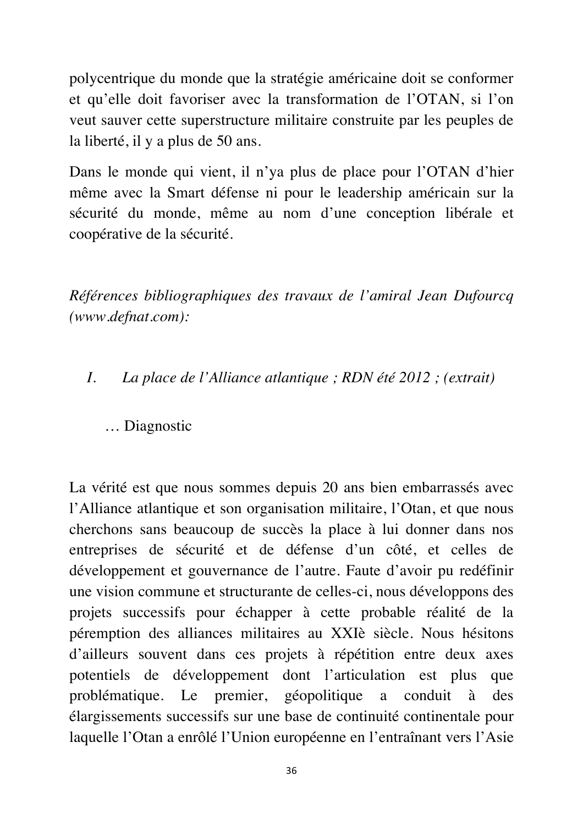polycentrique du monde que la stratégie américaine doit se conformer et qu'elle doit favoriser avec la transformation de l'OTAN, si l'on veut sauver cette superstructure militaire construite par les peuples de la liberté, il y a plus de 50 ans.

Dans le monde qui vient, il n'ya plus de place pour l'OTAN d'hier même avec la Smart défense ni pour le leadership américain sur la sécurité du monde, même au nom d'une conception libérale et coopérative de la sécurité.

*Références bibliographiques des travaux de l'amiral Jean Dufourcq (www.defnat.com):*

*I. La place de l'Alliance atlantique ; RDN été 2012 ; (extrait)*

#### … Diagnostic

La vérité est que nous sommes depuis 20 ans bien embarrassés avec l'Alliance atlantique et son organisation militaire, l'Otan, et que nous cherchons sans beaucoup de succès la place à lui donner dans nos entreprises de sécurité et de défense d'un côté, et celles de développement et gouvernance de l'autre. Faute d'avoir pu redéfinir une vision commune et structurante de celles-ci, nous développons des projets successifs pour échapper à cette probable réalité de la péremption des alliances militaires au XXIè siècle. Nous hésitons d'ailleurs souvent dans ces projets à répétition entre deux axes potentiels de développement dont l'articulation est plus que problématique. Le premier, géopolitique a conduit à des élargissements successifs sur une base de continuité continentale pour laquelle l'Otan a enrôlé l'Union européenne en l'entraînant vers l'Asie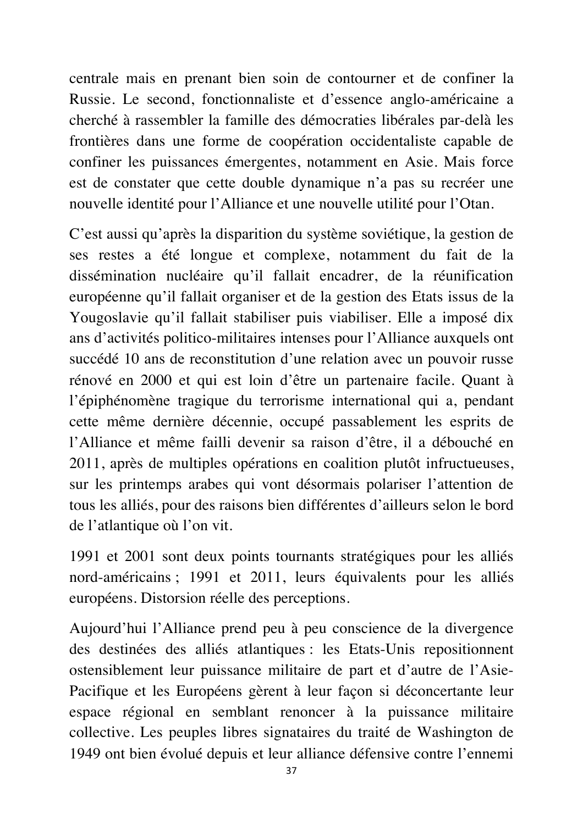centrale mais en prenant bien soin de contourner et de confiner la Russie. Le second, fonctionnaliste et d'essence anglo-américaine a cherché à rassembler la famille des démocraties libérales par-delà les frontières dans une forme de coopération occidentaliste capable de confiner les puissances émergentes, notamment en Asie. Mais force est de constater que cette double dynamique n'a pas su recréer une nouvelle identité pour l'Alliance et une nouvelle utilité pour l'Otan.

C'est aussi qu'après la disparition du système soviétique, la gestion de ses restes a été longue et complexe, notamment du fait de la dissémination nucléaire qu'il fallait encadrer, de la réunification européenne qu'il fallait organiser et de la gestion des Etats issus de la Yougoslavie qu'il fallait stabiliser puis viabiliser. Elle a imposé dix ans d'activités politico-militaires intenses pour l'Alliance auxquels ont succédé 10 ans de reconstitution d'une relation avec un pouvoir russe rénové en 2000 et qui est loin d'être un partenaire facile. Quant à l'épiphénomène tragique du terrorisme international qui a, pendant cette même dernière décennie, occupé passablement les esprits de l'Alliance et même failli devenir sa raison d'être, il a débouché en 2011, après de multiples opérations en coalition plutôt infructueuses, sur les printemps arabes qui vont désormais polariser l'attention de tous les alliés, pour des raisons bien différentes d'ailleurs selon le bord de l'atlantique où l'on vit.

1991 et 2001 sont deux points tournants stratégiques pour les alliés nord-américains ; 1991 et 2011, leurs équivalents pour les alliés européens. Distorsion réelle des perceptions.

Aujourd'hui l'Alliance prend peu à peu conscience de la divergence des destinées des alliés atlantiques : les Etats-Unis repositionnent ostensiblement leur puissance militaire de part et d'autre de l'Asie-Pacifique et les Européens gèrent à leur façon si déconcertante leur espace régional en semblant renoncer à la puissance militaire collective. Les peuples libres signataires du traité de Washington de 1949 ont bien évolué depuis et leur alliance défensive contre l'ennemi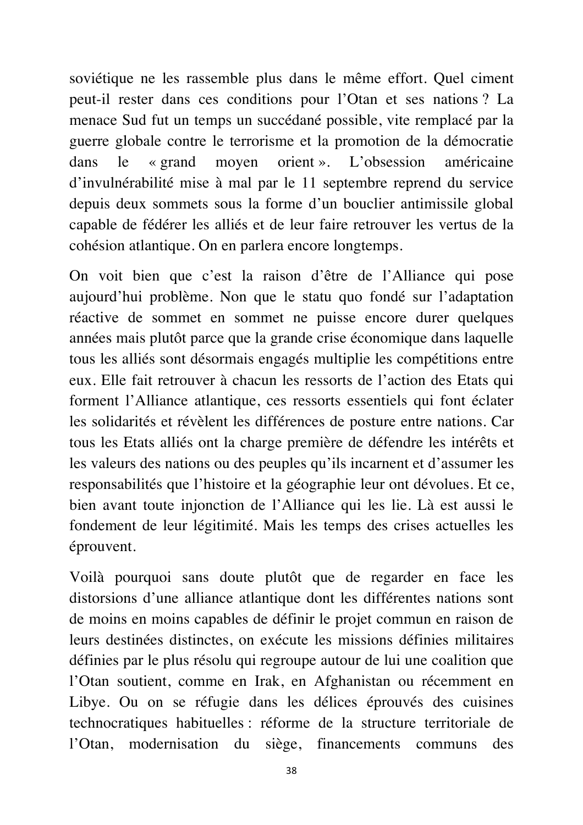soviétique ne les rassemble plus dans le même effort. Quel ciment peut-il rester dans ces conditions pour l'Otan et ses nations ? La menace Sud fut un temps un succédané possible, vite remplacé par la guerre globale contre le terrorisme et la promotion de la démocratie dans le « grand moyen orient ». L'obsession américaine d'invulnérabilité mise à mal par le 11 septembre reprend du service depuis deux sommets sous la forme d'un bouclier antimissile global capable de fédérer les alliés et de leur faire retrouver les vertus de la cohésion atlantique. On en parlera encore longtemps.

On voit bien que c'est la raison d'être de l'Alliance qui pose aujourd'hui problème. Non que le statu quo fondé sur l'adaptation réactive de sommet en sommet ne puisse encore durer quelques années mais plutôt parce que la grande crise économique dans laquelle tous les alliés sont désormais engagés multiplie les compétitions entre eux. Elle fait retrouver à chacun les ressorts de l'action des Etats qui forment l'Alliance atlantique, ces ressorts essentiels qui font éclater les solidarités et révèlent les différences de posture entre nations. Car tous les Etats alliés ont la charge première de défendre les intérêts et les valeurs des nations ou des peuples qu'ils incarnent et d'assumer les responsabilités que l'histoire et la géographie leur ont dévolues. Et ce, bien avant toute injonction de l'Alliance qui les lie. Là est aussi le fondement de leur légitimité. Mais les temps des crises actuelles les éprouvent.

Voilà pourquoi sans doute plutôt que de regarder en face les distorsions d'une alliance atlantique dont les différentes nations sont de moins en moins capables de définir le projet commun en raison de leurs destinées distinctes, on exécute les missions définies militaires définies par le plus résolu qui regroupe autour de lui une coalition que l'Otan soutient, comme en Irak, en Afghanistan ou récemment en Libye. Ou on se réfugie dans les délices éprouvés des cuisines technocratiques habituelles : réforme de la structure territoriale de l'Otan, modernisation du siège, financements communs des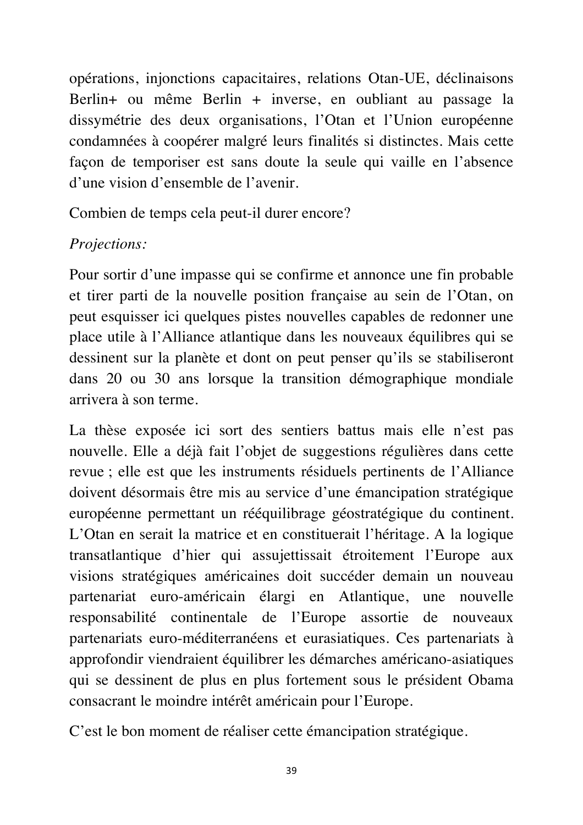opérations, injonctions capacitaires, relations Otan-UE, déclinaisons Berlin+ ou même Berlin + inverse, en oubliant au passage la dissymétrie des deux organisations, l'Otan et l'Union européenne condamnées à coopérer malgré leurs finalités si distinctes. Mais cette façon de temporiser est sans doute la seule qui vaille en l'absence d'une vision d'ensemble de l'avenir.

Combien de temps cela peut-il durer encore?

## *Projections:*

Pour sortir d'une impasse qui se confirme et annonce une fin probable et tirer parti de la nouvelle position française au sein de l'Otan, on peut esquisser ici quelques pistes nouvelles capables de redonner une place utile à l'Alliance atlantique dans les nouveaux équilibres qui se dessinent sur la planète et dont on peut penser qu'ils se stabiliseront dans 20 ou 30 ans lorsque la transition démographique mondiale arrivera à son terme.

La thèse exposée ici sort des sentiers battus mais elle n'est pas nouvelle. Elle a déjà fait l'objet de suggestions régulières dans cette revue ; elle est que les instruments résiduels pertinents de l'Alliance doivent désormais être mis au service d'une émancipation stratégique européenne permettant un rééquilibrage géostratégique du continent. L'Otan en serait la matrice et en constituerait l'héritage. A la logique transatlantique d'hier qui assujettissait étroitement l'Europe aux visions stratégiques américaines doit succéder demain un nouveau partenariat euro-américain élargi en Atlantique, une nouvelle responsabilité continentale de l'Europe assortie de nouveaux partenariats euro-méditerranéens et eurasiatiques. Ces partenariats à approfondir viendraient équilibrer les démarches américano-asiatiques qui se dessinent de plus en plus fortement sous le président Obama consacrant le moindre intérêt américain pour l'Europe.

C'est le bon moment de réaliser cette émancipation stratégique.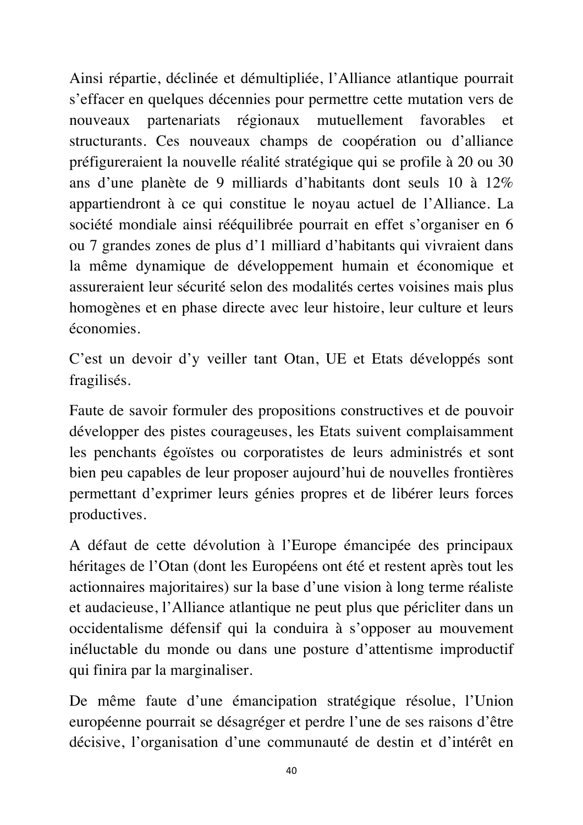Ainsi répartie, déclinée et démultipliée, l'Alliance atlantique pourrait s'effacer en quelques décennies pour permettre cette mutation vers de nouveaux partenariats régionaux mutuellement favorables et structurants. Ces nouveaux champs de coopération ou d'alliance préfigureraient la nouvelle réalité stratégique qui se profile à 20 ou 30 ans d'une planète de 9 milliards d'habitants dont seuls 10 à 12% appartiendront à ce qui constitue le noyau actuel de l'Alliance. La société mondiale ainsi rééquilibrée pourrait en effet s'organiser en 6 ou 7 grandes zones de plus d'1 milliard d'habitants qui vivraient dans la même dynamique de développement humain et économique et assureraient leur sécurité selon des modalités certes voisines mais plus homogènes et en phase directe avec leur histoire, leur culture et leurs économies.

C'est un devoir d'y veiller tant Otan, UE et Etats développés sont fragilisés.

Faute de savoir formuler des propositions constructives et de pouvoir développer des pistes courageuses, les Etats suivent complaisamment les penchants égoïstes ou corporatistes de leurs administrés et sont bien peu capables de leur proposer aujourd'hui de nouvelles frontières permettant d'exprimer leurs génies propres et de libérer leurs forces productives.

A défaut de cette dévolution à l'Europe émancipée des principaux héritages de l'Otan (dont les Européens ont été et restent après tout les actionnaires majoritaires) sur la base d'une vision à long terme réaliste et audacieuse, l'Alliance atlantique ne peut plus que péricliter dans un occidentalisme défensif qui la conduira à s'opposer au mouvement inéluctable du monde ou dans une posture d'attentisme improductif qui finira par la marginaliser.

De même faute d'une émancipation stratégique résolue, l'Union européenne pourrait se désagréger et perdre l'une de ses raisons d'être décisive, l'organisation d'une communauté de destin et d'intérêt en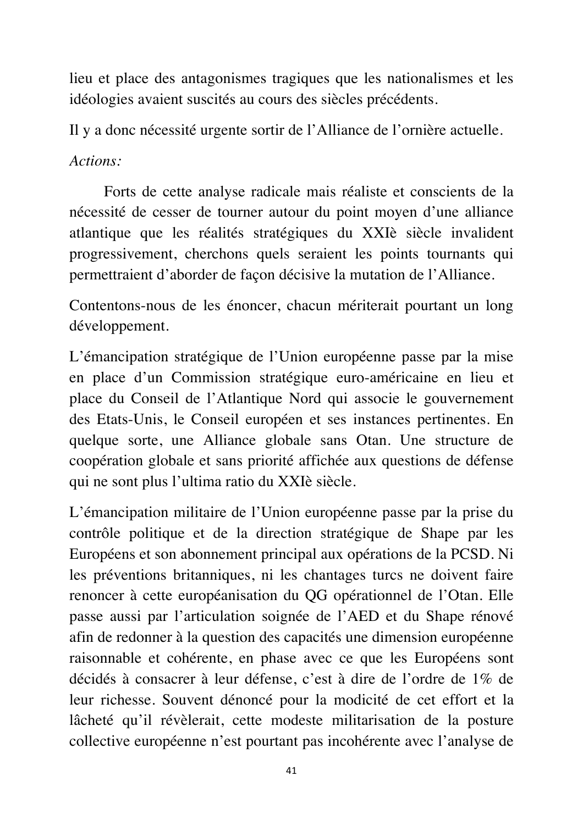lieu et place des antagonismes tragiques que les nationalismes et les idéologies avaient suscités au cours des siècles précédents.

Il y a donc nécessité urgente sortir de l'Alliance de l'ornière actuelle.

*Actions:*

Forts de cette analyse radicale mais réaliste et conscients de la nécessité de cesser de tourner autour du point moyen d'une alliance atlantique que les réalités stratégiques du XXIè siècle invalident progressivement, cherchons quels seraient les points tournants qui permettraient d'aborder de façon décisive la mutation de l'Alliance.

Contentons-nous de les énoncer, chacun mériterait pourtant un long développement.

L'émancipation stratégique de l'Union européenne passe par la mise en place d'un Commission stratégique euro-américaine en lieu et place du Conseil de l'Atlantique Nord qui associe le gouvernement des Etats-Unis, le Conseil européen et ses instances pertinentes. En quelque sorte, une Alliance globale sans Otan. Une structure de coopération globale et sans priorité affichée aux questions de défense qui ne sont plus l'ultima ratio du XXIè siècle.

L'émancipation militaire de l'Union européenne passe par la prise du contrôle politique et de la direction stratégique de Shape par les Européens et son abonnement principal aux opérations de la PCSD. Ni les préventions britanniques, ni les chantages turcs ne doivent faire renoncer à cette européanisation du QG opérationnel de l'Otan. Elle passe aussi par l'articulation soignée de l'AED et du Shape rénové afin de redonner à la question des capacités une dimension européenne raisonnable et cohérente, en phase avec ce que les Européens sont décidés à consacrer à leur défense, c'est à dire de l'ordre de 1% de leur richesse. Souvent dénoncé pour la modicité de cet effort et la lâcheté qu'il révèlerait, cette modeste militarisation de la posture collective européenne n'est pourtant pas incohérente avec l'analyse de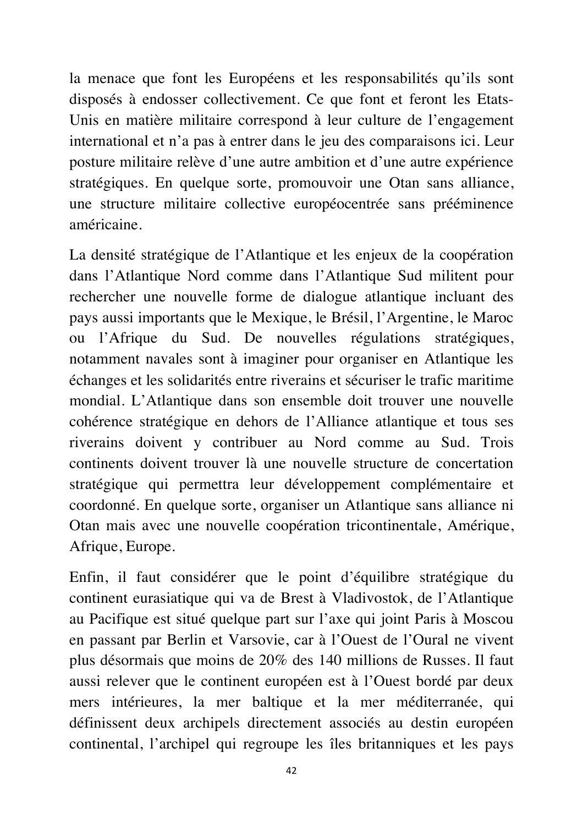la menace que font les Européens et les responsabilités qu'ils sont disposés à endosser collectivement. Ce que font et feront les Etats-Unis en matière militaire correspond à leur culture de l'engagement international et n'a pas à entrer dans le jeu des comparaisons ici. Leur posture militaire relève d'une autre ambition et d'une autre expérience stratégiques. En quelque sorte, promouvoir une Otan sans alliance, une structure militaire collective européocentrée sans prééminence américaine.

La densité stratégique de l'Atlantique et les enjeux de la coopération dans l'Atlantique Nord comme dans l'Atlantique Sud militent pour rechercher une nouvelle forme de dialogue atlantique incluant des pays aussi importants que le Mexique, le Brésil, l'Argentine, le Maroc ou l'Afrique du Sud. De nouvelles régulations stratégiques, notamment navales sont à imaginer pour organiser en Atlantique les échanges et les solidarités entre riverains et sécuriser le trafic maritime mondial. L'Atlantique dans son ensemble doit trouver une nouvelle cohérence stratégique en dehors de l'Alliance atlantique et tous ses riverains doivent y contribuer au Nord comme au Sud. Trois continents doivent trouver là une nouvelle structure de concertation stratégique qui permettra leur développement complémentaire et coordonné. En quelque sorte, organiser un Atlantique sans alliance ni Otan mais avec une nouvelle coopération tricontinentale, Amérique, Afrique, Europe.

Enfin, il faut considérer que le point d'équilibre stratégique du continent eurasiatique qui va de Brest à Vladivostok, de l'Atlantique au Pacifique est situé quelque part sur l'axe qui joint Paris à Moscou en passant par Berlin et Varsovie, car à l'Ouest de l'Oural ne vivent plus désormais que moins de 20% des 140 millions de Russes. Il faut aussi relever que le continent européen est à l'Ouest bordé par deux mers intérieures, la mer baltique et la mer méditerranée, qui définissent deux archipels directement associés au destin européen continental, l'archipel qui regroupe les îles britanniques et les pays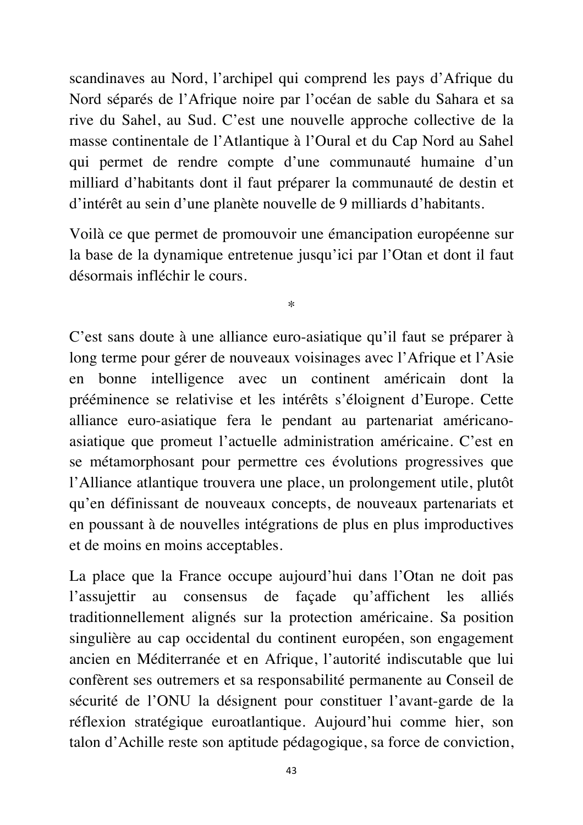scandinaves au Nord, l'archipel qui comprend les pays d'Afrique du Nord séparés de l'Afrique noire par l'océan de sable du Sahara et sa rive du Sahel, au Sud. C'est une nouvelle approche collective de la masse continentale de l'Atlantique à l'Oural et du Cap Nord au Sahel qui permet de rendre compte d'une communauté humaine d'un milliard d'habitants dont il faut préparer la communauté de destin et d'intérêt au sein d'une planète nouvelle de 9 milliards d'habitants.

Voilà ce que permet de promouvoir une émancipation européenne sur la base de la dynamique entretenue jusqu'ici par l'Otan et dont il faut désormais infléchir le cours.

\*

C'est sans doute à une alliance euro-asiatique qu'il faut se préparer à long terme pour gérer de nouveaux voisinages avec l'Afrique et l'Asie en bonne intelligence avec un continent américain dont la prééminence se relativise et les intérêts s'éloignent d'Europe. Cette alliance euro-asiatique fera le pendant au partenariat américanoasiatique que promeut l'actuelle administration américaine. C'est en se métamorphosant pour permettre ces évolutions progressives que l'Alliance atlantique trouvera une place, un prolongement utile, plutôt qu'en définissant de nouveaux concepts, de nouveaux partenariats et en poussant à de nouvelles intégrations de plus en plus improductives et de moins en moins acceptables.

La place que la France occupe aujourd'hui dans l'Otan ne doit pas l'assujettir au consensus de façade qu'affichent les alliés traditionnellement alignés sur la protection américaine. Sa position singulière au cap occidental du continent européen, son engagement ancien en Méditerranée et en Afrique, l'autorité indiscutable que lui confèrent ses outremers et sa responsabilité permanente au Conseil de sécurité de l'ONU la désignent pour constituer l'avant-garde de la réflexion stratégique euroatlantique. Aujourd'hui comme hier, son talon d'Achille reste son aptitude pédagogique, sa force de conviction,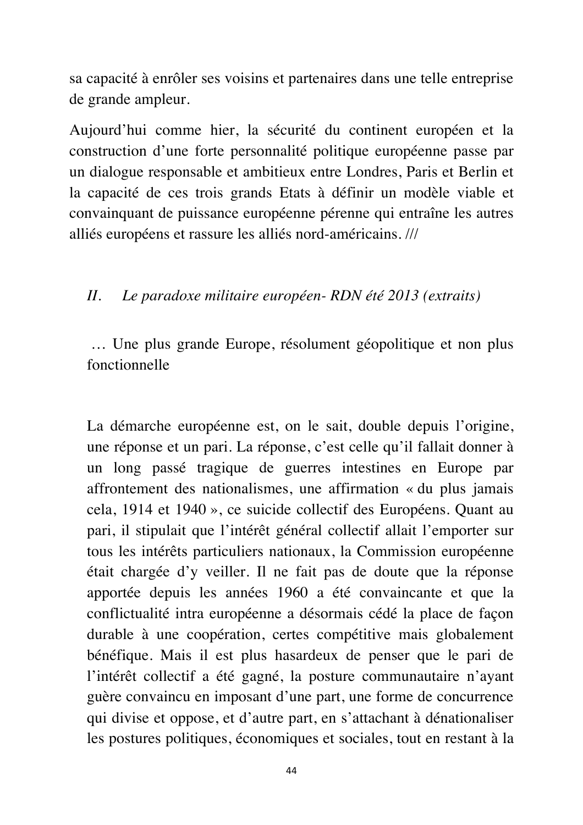sa capacité à enrôler ses voisins et partenaires dans une telle entreprise de grande ampleur.

Aujourd'hui comme hier, la sécurité du continent européen et la construction d'une forte personnalité politique européenne passe par un dialogue responsable et ambitieux entre Londres, Paris et Berlin et la capacité de ces trois grands Etats à définir un modèle viable et convainquant de puissance européenne pérenne qui entraîne les autres alliés européens et rassure les alliés nord-américains. ///

#### *II. Le paradoxe militaire européen- RDN été 2013 (extraits)*

… Une plus grande Europe, résolument géopolitique et non plus fonctionnelle

La démarche européenne est, on le sait, double depuis l'origine, une réponse et un pari. La réponse, c'est celle qu'il fallait donner à un long passé tragique de guerres intestines en Europe par affrontement des nationalismes, une affirmation « du plus jamais cela, 1914 et 1940 », ce suicide collectif des Européens. Quant au pari, il stipulait que l'intérêt général collectif allait l'emporter sur tous les intérêts particuliers nationaux, la Commission européenne était chargée d'y veiller. Il ne fait pas de doute que la réponse apportée depuis les années 1960 a été convaincante et que la conflictualité intra européenne a désormais cédé la place de façon durable à une coopération, certes compétitive mais globalement bénéfique. Mais il est plus hasardeux de penser que le pari de l'intérêt collectif a été gagné, la posture communautaire n'ayant guère convaincu en imposant d'une part, une forme de concurrence qui divise et oppose, et d'autre part, en s'attachant à dénationaliser les postures politiques, économiques et sociales, tout en restant à la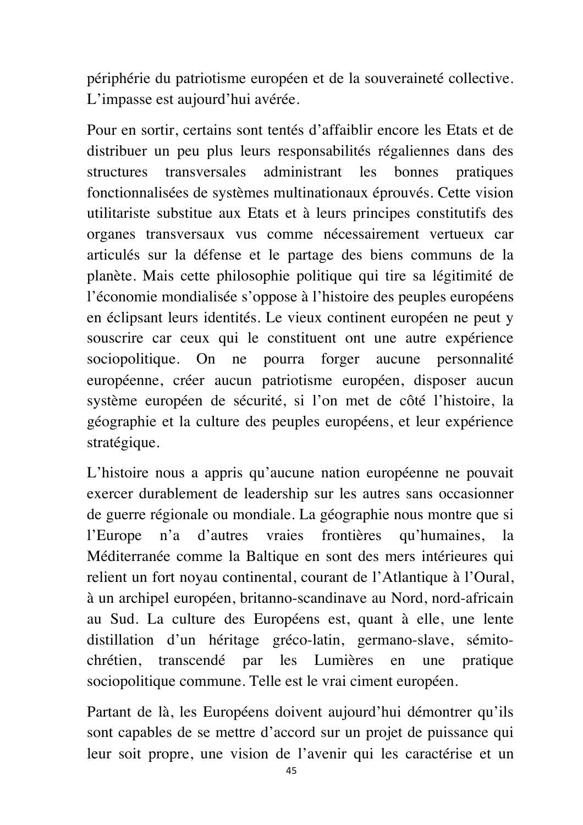périphérie du patriotisme européen et de la souveraineté collective. L'impasse est aujourd'hui avérée.

Pour en sortir, certains sont tentés d'affaiblir encore les Etats et de distribuer un peu plus leurs responsabilités régaliennes dans des structures transversales administrant les bonnes pratiques fonctionnalisées de systèmes multinationaux éprouvés. Cette vision utilitariste substitue aux Etats et à leurs principes constitutifs des organes transversaux vus comme nécessairement vertueux car articulés sur la défense et le partage des biens communs de la planète. Mais cette philosophie politique qui tire sa légitimité de l'économie mondialisée s'oppose à l'histoire des peuples européens en éclipsant leurs identités. Le vieux continent européen ne peut y souscrire car ceux qui le constituent ont une autre expérience sociopolitique. On ne pourra forger aucune personnalité européenne, créer aucun patriotisme européen, disposer aucun système européen de sécurité, si l'on met de côté l'histoire, la géographie et la culture des peuples européens, et leur expérience stratégique.

L'histoire nous a appris qu'aucune nation européenne ne pouvait exercer durablement de leadership sur les autres sans occasionner de guerre régionale ou mondiale. La géographie nous montre que si l'Europe n'a d'autres vraies frontières qu'humaines, la Méditerranée comme la Baltique en sont des mers intérieures qui relient un fort noyau continental, courant de l'Atlantique à l'Oural, à un archipel européen, britanno-scandinave au Nord, nord-africain au Sud. La culture des Européens est, quant à elle, une lente distillation d'un héritage gréco-latin, germano-slave, sémitochrétien, transcendé par les Lumières en une pratique sociopolitique commune. Telle est le vrai ciment européen.

Partant de là, les Européens doivent aujourd'hui démontrer qu'ils sont capables de se mettre d'accord sur un projet de puissance qui leur soit propre, une vision de l'avenir qui les caractérise et un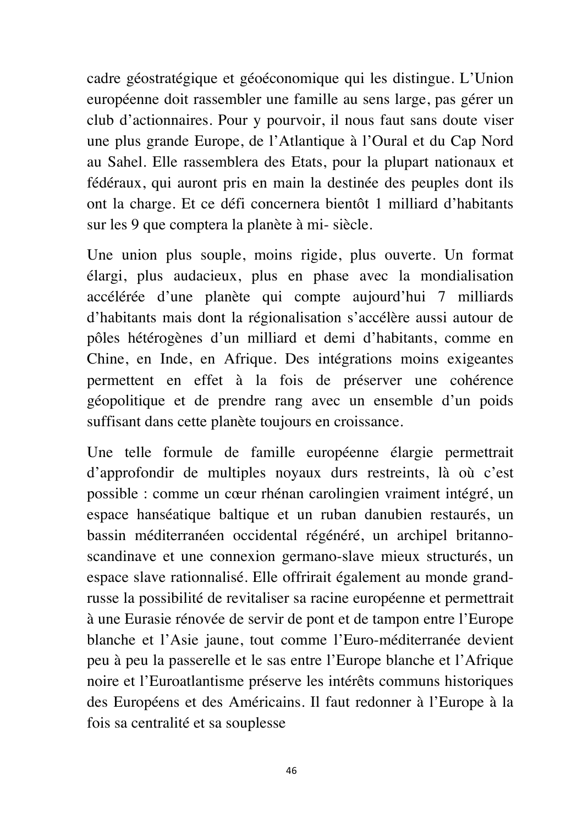cadre géostratégique et géoéconomique qui les distingue. L'Union européenne doit rassembler une famille au sens large, pas gérer un club d'actionnaires. Pour y pourvoir, il nous faut sans doute viser une plus grande Europe, de l'Atlantique à l'Oural et du Cap Nord au Sahel. Elle rassemblera des Etats, pour la plupart nationaux et fédéraux, qui auront pris en main la destinée des peuples dont ils ont la charge. Et ce défi concernera bientôt 1 milliard d'habitants sur les 9 que comptera la planète à mi- siècle.

Une union plus souple, moins rigide, plus ouverte. Un format élargi, plus audacieux, plus en phase avec la mondialisation accélérée d'une planète qui compte aujourd'hui 7 milliards d'habitants mais dont la régionalisation s'accélère aussi autour de pôles hétérogènes d'un milliard et demi d'habitants, comme en Chine, en Inde, en Afrique. Des intégrations moins exigeantes permettent en effet à la fois de préserver une cohérence géopolitique et de prendre rang avec un ensemble d'un poids suffisant dans cette planète toujours en croissance.

Une telle formule de famille européenne élargie permettrait d'approfondir de multiples noyaux durs restreints, là où c'est possible : comme un cœur rhénan carolingien vraiment intégré, un espace hanséatique baltique et un ruban danubien restaurés, un bassin méditerranéen occidental régénéré, un archipel britannoscandinave et une connexion germano-slave mieux structurés, un espace slave rationnalisé. Elle offrirait également au monde grandrusse la possibilité de revitaliser sa racine européenne et permettrait à une Eurasie rénovée de servir de pont et de tampon entre l'Europe blanche et l'Asie jaune, tout comme l'Euro-méditerranée devient peu à peu la passerelle et le sas entre l'Europe blanche et l'Afrique noire et l'Euroatlantisme préserve les intérêts communs historiques des Européens et des Américains. Il faut redonner à l'Europe à la fois sa centralité et sa souplesse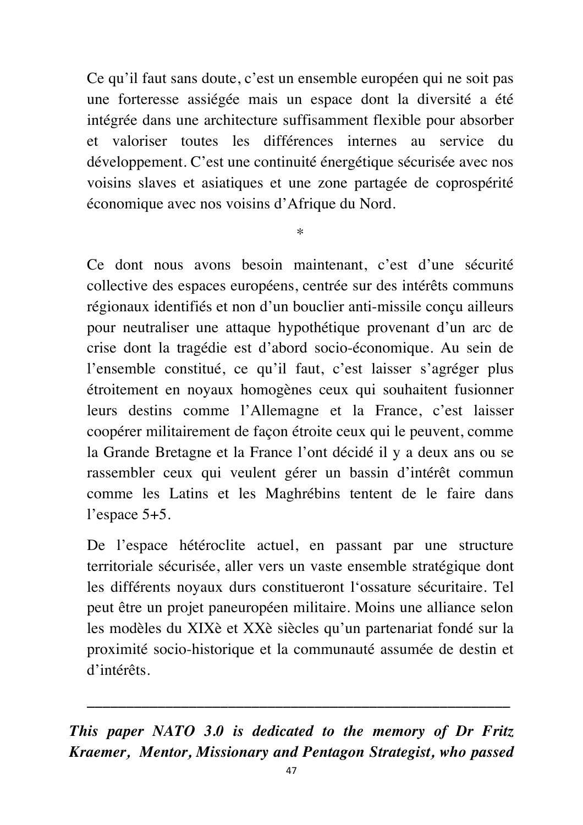Ce qu'il faut sans doute, c'est un ensemble européen qui ne soit pas une forteresse assiégée mais un espace dont la diversité a été intégrée dans une architecture suffisamment flexible pour absorber et valoriser toutes les différences internes au service du développement. C'est une continuité énergétique sécurisée avec nos voisins slaves et asiatiques et une zone partagée de coprospérité économique avec nos voisins d'Afrique du Nord.

\*

Ce dont nous avons besoin maintenant, c'est d'une sécurité collective des espaces européens, centrée sur des intérêts communs régionaux identifiés et non d'un bouclier anti-missile conçu ailleurs pour neutraliser une attaque hypothétique provenant d'un arc de crise dont la tragédie est d'abord socio-économique. Au sein de l'ensemble constitué, ce qu'il faut, c'est laisser s'agréger plus étroitement en noyaux homogènes ceux qui souhaitent fusionner leurs destins comme l'Allemagne et la France, c'est laisser coopérer militairement de façon étroite ceux qui le peuvent, comme la Grande Bretagne et la France l'ont décidé il y a deux ans ou se rassembler ceux qui veulent gérer un bassin d'intérêt commun comme les Latins et les Maghrébins tentent de le faire dans l'espace 5+5.

De l'espace hétéroclite actuel, en passant par une structure territoriale sécurisée, aller vers un vaste ensemble stratégique dont les différents noyaux durs constitueront l'ossature sécuritaire. Tel peut être un projet paneuropéen militaire. Moins une alliance selon les modèles du XIXè et XXè siècles qu'un partenariat fondé sur la proximité socio-historique et la communauté assumée de destin et d'intérêts.

*This paper NATO 3.0 is dedicated to the memory of Dr Fritz Kraemer, Mentor, Missionary and Pentagon Strategist, who passed* 

*\_\_\_\_\_\_\_\_\_\_\_\_\_\_\_\_\_\_\_\_\_\_\_\_\_\_\_\_\_\_\_\_\_\_\_\_\_\_\_\_\_\_\_\_\_\_\_\_\_\_\_\_\_\_*